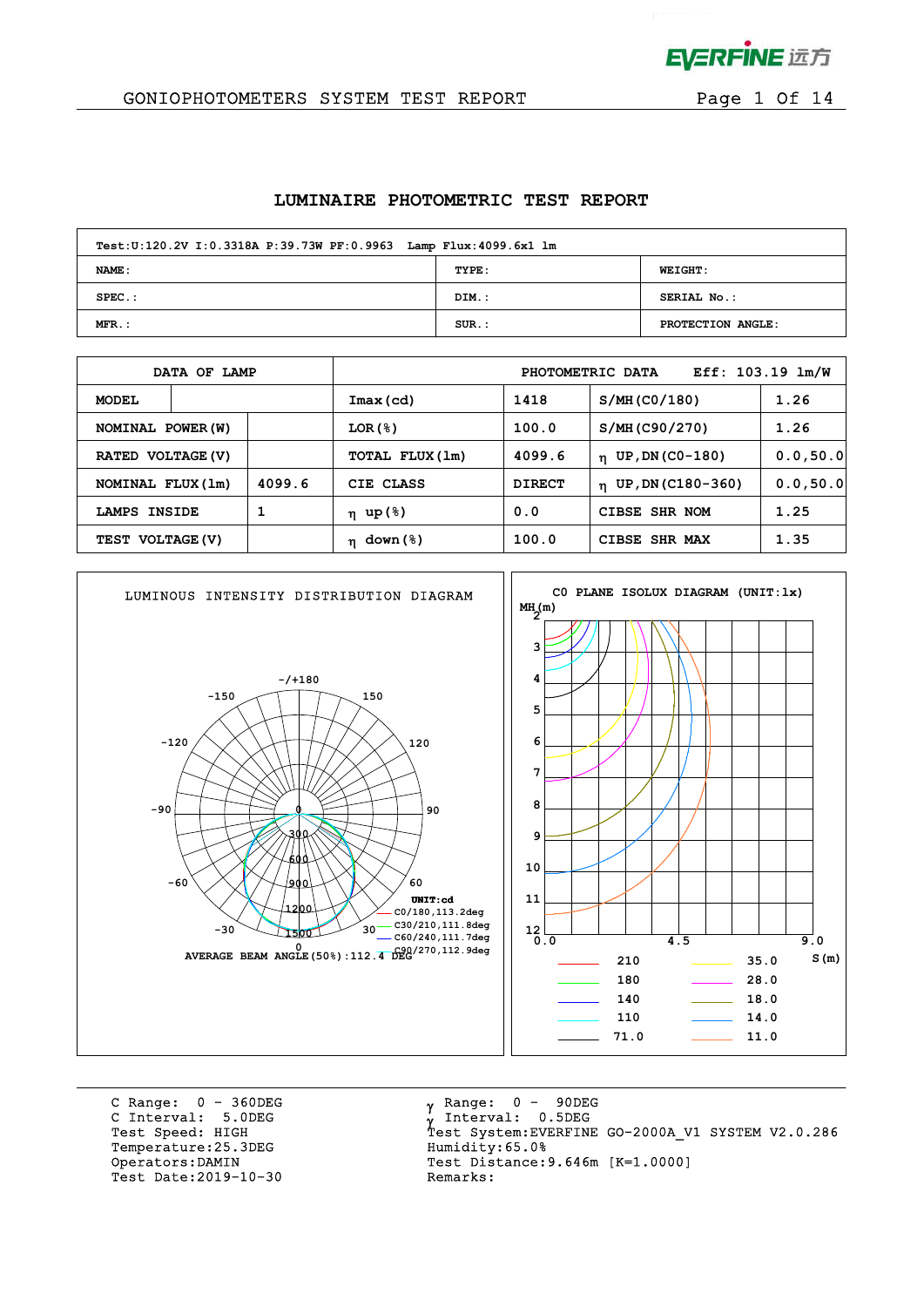

 $\mathcal{L}^{\text{max}}$ 

## GONIOPHOTOMETERS SYSTEM TEST REPORT FOR Page 1 Of 14

#### **LUMINAIRE PHOTOMETRIC TEST REPORT**

| Test: U:120.2V I: 0.3318A P:39.73W PF: 0.9963 Lamp Flux: 4099.6x1 lm |          |                   |  |  |  |  |  |  |  |
|----------------------------------------------------------------------|----------|-------------------|--|--|--|--|--|--|--|
| <b>NAME:</b>                                                         | TYPE:    | <b>WEIGHT:</b>    |  |  |  |  |  |  |  |
| $SPEC.$ :                                                            | DIM.:    | SERIAL No.:       |  |  |  |  |  |  |  |
| $MFR.$ :                                                             | $SUR.$ : | PROTECTION ANGLE: |  |  |  |  |  |  |  |

|                   | DATA OF LAMP  |        |                 | Eff: $103.19$ $lm/W$<br>PHOTOMETRIC DATA |                          |           |  |  |  |  |
|-------------------|---------------|--------|-----------------|------------------------------------------|--------------------------|-----------|--|--|--|--|
| <b>MODEL</b>      |               |        | Imax(cd)        | 1418                                     | S/MH (CO/180)            | 1.26      |  |  |  |  |
| NOMINAL POWER (W) |               |        | LOR(8)          | 100.0                                    | S/MH (C90/270)           | 1.26      |  |  |  |  |
| RATED VOLTAGE (V) |               |        | TOTAL FLUX (1m) | 4099.6                                   | $n$ UP, DN (CO-180)      | 0.0, 50.0 |  |  |  |  |
| NOMINAL FLUX (1m) |               | 4099.6 | CIE CLASS       | <b>DIRECT</b>                            | $\eta$ UP, DN (C180-360) | 0.0, 50.0 |  |  |  |  |
| LAMPS             | <b>INSIDE</b> | 1      | η up(%)         | 0.0                                      | CIBSE SHR NOM            | 1.25      |  |  |  |  |
| TEST VOLTAGE (V)  |               |        | $\eta$ down (%) | 100.0                                    | <b>SHR MAX</b><br>CIBSE  | 1.35      |  |  |  |  |



C Range: 0 - 360DEG C Interval: 5.0DEG Temperature: 25.3DEG Humidity: 65.0% Test Date: 2019-10-30

 $\gamma$  Range:  $0 - 90$ DEG Interval: 0.5DEG Test Speed: HIGH Test System:EVERFINE GO-2000A\_V1 SYSTEM V2.0.286 Operators:DAMIN Test Distance:9.646m [K=1.0000]<br>Test Date:2019-10-30 Remarks: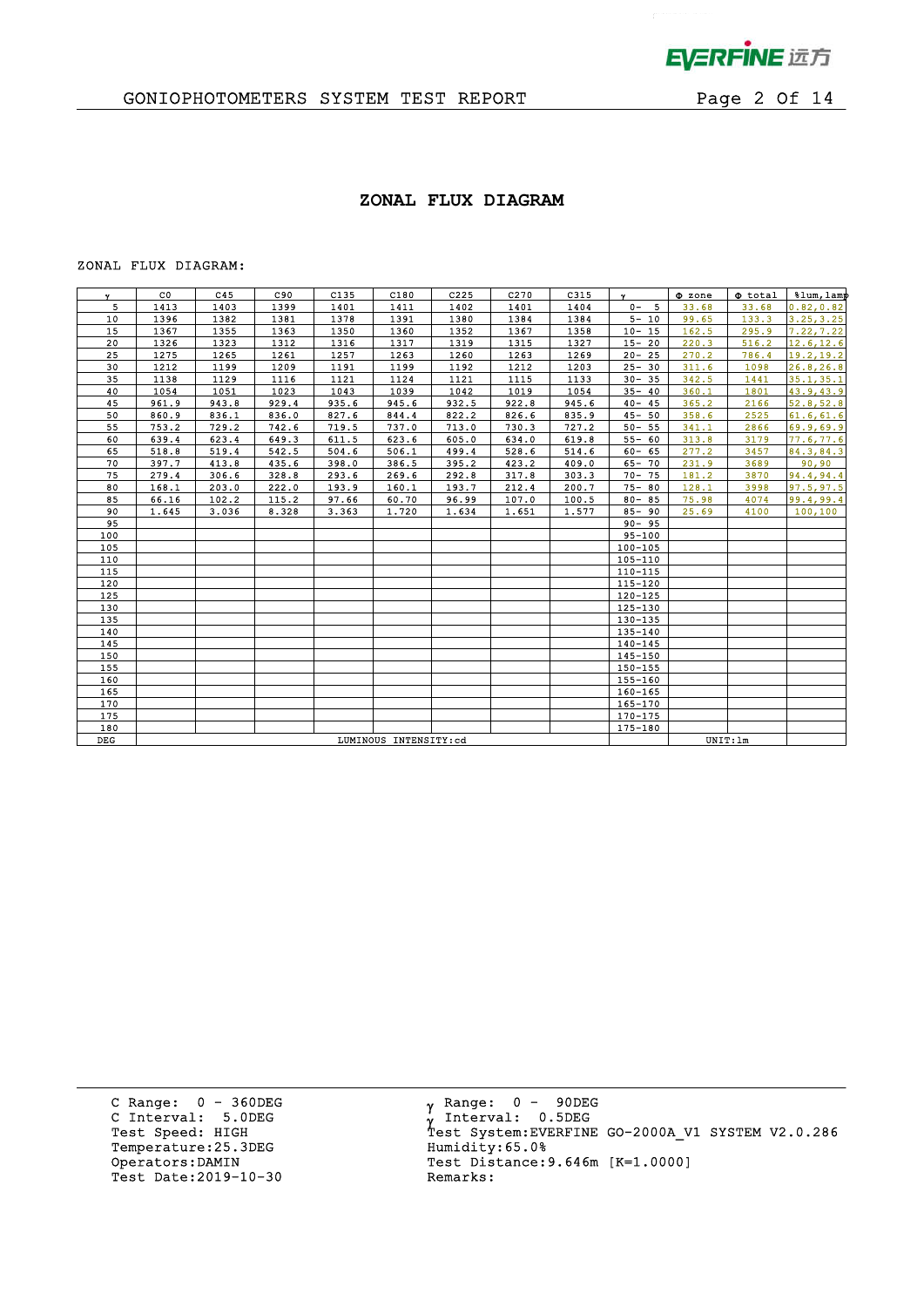

 $\mathbf{p}^{\mathrm{max}}$ 

# GONIOPHOTOMETERS SYSTEM TEST REPORT FOR Page 2 Of 14

## **ZONAL FLUX DIAGRAM**

#### ZONAL FLUX DIAGRAM:

| $\mathbf{v}$ | $_{\rm CO}$           | C45   | C90   | C135  | C180  | C225  | C270  | C315  | $\mathbf{v}$ | $\Phi$ zone | <b>O</b> total | %lum, lamp |
|--------------|-----------------------|-------|-------|-------|-------|-------|-------|-------|--------------|-------------|----------------|------------|
| 5            | 1413                  | 1403  | 1399  | 1401  | 1411  | 1402  | 1401  | 1404  | $0 - 5$      | 33.68       | 33.68          | 0.82, 0.82 |
| 10           | 1396                  | 1382  | 1381  | 1378  | 1391  | 1380  | 1384  | 1384  | $5 - 10$     | 99.65       | 133.3          | 3.25, 3.25 |
| 15           | 1367                  | 1355  | 1363  | 1350  | 1360  | 1352  | 1367  | 1358  | $10 - 15$    | 162.5       | 295.9          | 7.22, 7.22 |
| 20           | 1326                  | 1323  | 1312  | 1316  | 1317  | 1319  | 1315  | 1327  | $15 - 20$    | 220.3       | 516.2          | 12.6, 12.6 |
| 25           | 1275                  | 1265  | 1261  | 1257  | 1263  | 1260  | 1263  | 1269  | $20 - 25$    | 270.2       | 786.4          | 19.2, 19.2 |
| 30           | 1212                  | 1199  | 1209  | 1191  | 1199  | 1192  | 1212  | 1203  | $25 - 30$    | 311.6       | 1098           | 26.8, 26.8 |
| 35           | 1138                  | 1129  | 1116  | 1121  | 1124  | 1121  | 1115  | 1133  | $30 - 35$    | 342.5       | 1441           | 35.1, 35.1 |
| 40           | 1054                  | 1051  | 1023  | 1043  | 1039  | 1042  | 1019  | 1054  | $35 - 40$    | 360.1       | 1801           | 43.9,43.9  |
| 45           | 961.9                 | 943.8 | 929.4 | 935.6 | 945.6 | 932.5 | 922.8 | 945.6 | $40 - 45$    | 365.2       | 2166           | 52.8, 52.8 |
| 50           | 860.9                 | 836.1 | 836.0 | 827.6 | 844.4 | 822.2 | 826.6 | 835.9 | $45 - 50$    | 358.6       | 2525           | 61.6, 61.6 |
| 55           | 753.2                 | 729.2 | 742.6 | 719.5 | 737.0 | 713.0 | 730.3 | 727.2 | $50 - 55$    | 341.1       | 2866           | 69.9,69.9  |
| 60           | 639.4                 | 623.4 | 649.3 | 611.5 | 623.6 | 605.0 | 634.0 | 619.8 | $55 - 60$    | 313.8       | 3179           | 77.6,77.6  |
| 65           | 518.8                 | 519.4 | 542.5 | 504.6 | 506.1 | 499.4 | 528.6 | 514.6 | $60 - 65$    | 277.2       | 3457           | 84.3,84.3  |
| 70           | 397.7                 | 413.8 | 435.6 | 398.0 | 386.5 | 395.2 | 423.2 | 409.0 | $65 - 70$    | 231.9       | 3689           | 90,90      |
| 75           | 279.4                 | 306.6 | 328.8 | 293.6 | 269.6 | 292.8 | 317.8 | 303.3 | $70 - 75$    | 181.2       | 3870           | 94.4,94.4  |
| 80           | 168.1                 | 203.0 | 222.0 | 193.9 | 160.1 | 193.7 | 212.4 | 200.7 | $75 - 80$    | 128.1       | 3998           | 97.5, 97.5 |
| 85           | 66.16                 | 102.2 | 115.2 | 97.66 | 60.70 | 96.99 | 107.0 | 100.5 | $80 - 85$    | 75.98       | 4074           | 99.4,99.4  |
| 90           | 1.645                 | 3.036 | 8.328 | 3.363 | 1.720 | 1.634 | 1.651 | 1.577 | $85 - 90$    | 25.69       | 4100           | 100, 100   |
| 95           |                       |       |       |       |       |       |       |       | $90 - 95$    |             |                |            |
| 100          |                       |       |       |       |       |       |       |       | $95 - 100$   |             |                |            |
| 105          |                       |       |       |       |       |       |       |       | $100 - 105$  |             |                |            |
| 110          |                       |       |       |       |       |       |       |       | $105 - 110$  |             |                |            |
| 115          |                       |       |       |       |       |       |       |       | $110 - 115$  |             |                |            |
| 120          |                       |       |       |       |       |       |       |       | 115-120      |             |                |            |
| 125          |                       |       |       |       |       |       |       |       | 120-125      |             |                |            |
| 130          |                       |       |       |       |       |       |       |       | $125 - 130$  |             |                |            |
| 135          |                       |       |       |       |       |       |       |       | 130-135      |             |                |            |
| 140          |                       |       |       |       |       |       |       |       | 135-140      |             |                |            |
| 145          |                       |       |       |       |       |       |       |       | $140 - 145$  |             |                |            |
| 150          |                       |       |       |       |       |       |       |       | $145 - 150$  |             |                |            |
| 155          |                       |       |       |       |       |       |       |       | 150-155      |             |                |            |
| 160          |                       |       |       |       |       |       |       |       | $155 - 160$  |             |                |            |
| 165          |                       |       |       |       |       |       |       |       | 160-165      |             |                |            |
| 170          |                       |       |       |       |       |       |       |       | 165-170      |             |                |            |
| 175          |                       |       |       |       |       |       |       |       | 170-175      |             |                |            |
| 180          |                       |       |       |       |       |       |       |       | 175-180      |             |                |            |
| DEG          | LUMINOUS INTENSITY:cd |       |       |       |       |       |       |       |              |             | UNIT: 1m       |            |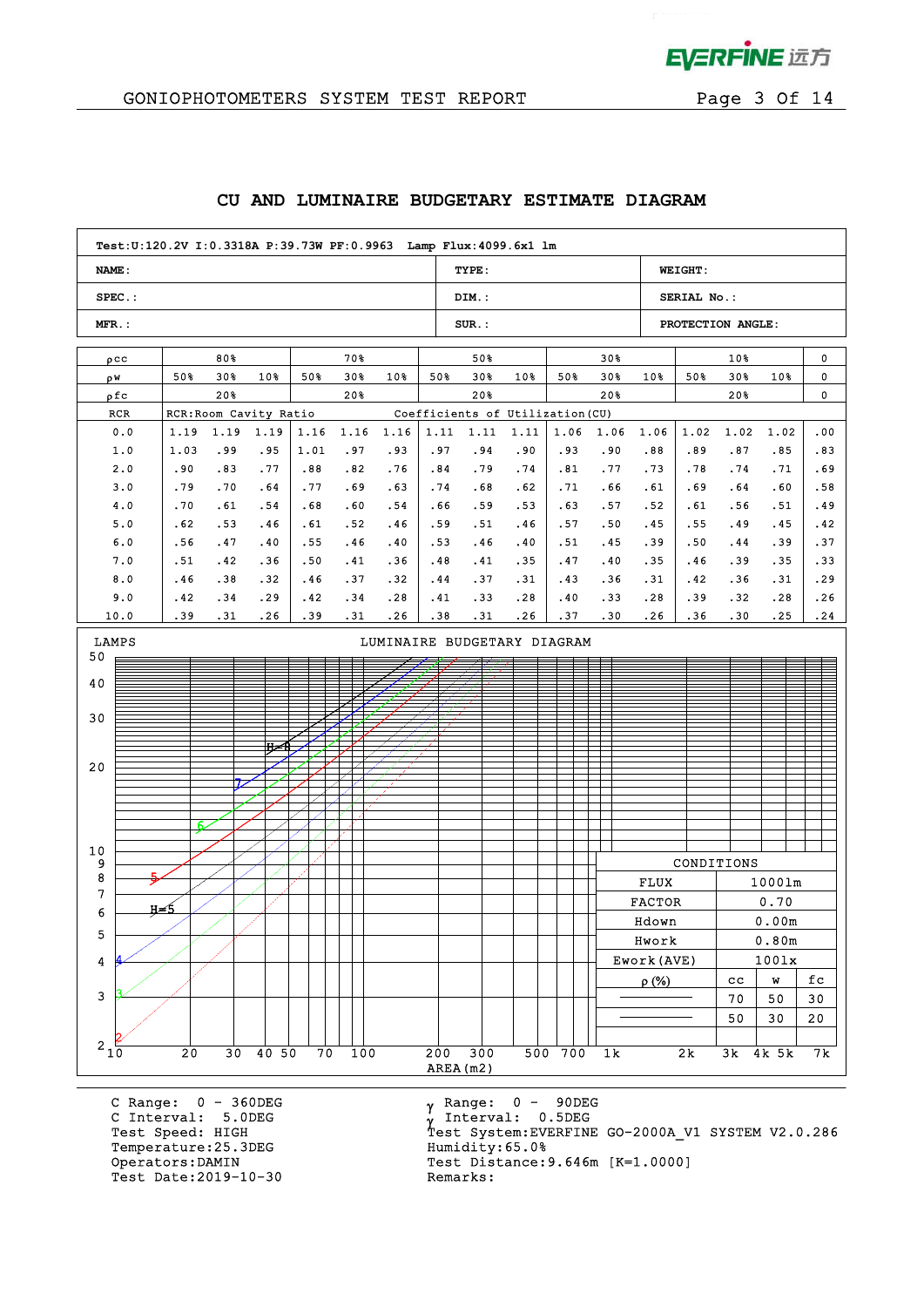

 $\mathcal{L}^{\text{max}}$ 

# GONIOPHOTOMETERS SYSTEM TEST REPORT Page 3 Of 14

## **CU AND LUMINAIRE BUDGETARY ESTIMATE DIAGRAM**

|                                                                                                                      | Test: U:120.2V I: 0.3318A P: 39.73W PF: 0.9963 Lamp Flux: 4099.6x1 lm                                                           |            |      |       |      |      |                                  |       |      |       |               |                   |             |        |        |
|----------------------------------------------------------------------------------------------------------------------|---------------------------------------------------------------------------------------------------------------------------------|------------|------|-------|------|------|----------------------------------|-------|------|-------|---------------|-------------------|-------------|--------|--------|
| <b>NAME:</b>                                                                                                         |                                                                                                                                 |            |      |       |      |      | TYPE:                            |       |      |       |               | <b>WEIGHT:</b>    |             |        |        |
| $SPEC.$ :                                                                                                            |                                                                                                                                 |            |      |       |      |      | DIM.:                            |       |      |       |               | SERIAL No.:       |             |        |        |
| $MFR$ .:                                                                                                             |                                                                                                                                 |            |      |       |      |      | $SUR$ .:                         |       |      |       |               | PROTECTION ANGLE: |             |        |        |
| $\rho$ CC                                                                                                            | 80%                                                                                                                             |            |      | 70%   |      |      | 50%<br>30 <sub>8</sub>           |       |      |       |               |                   | $10*$       |        | 0      |
| ρW                                                                                                                   | 50%<br>30%                                                                                                                      | 10%        | 50%  | $30*$ | 10%  | 50%  | 30%                              | $10*$ | 50%  | $30*$ | 10%           | 50%               | 30%         | 10%    | 0      |
| ρfc                                                                                                                  | 20%                                                                                                                             |            |      | 20%   |      |      | 20%                              |       |      | 20%   |               |                   | 20%         |        | 0      |
| RCR                                                                                                                  | RCR: Room Cavity Ratio                                                                                                          |            |      |       |      |      | Coefficients of Utilization (CU) |       |      |       |               |                   |             |        |        |
| 0.0                                                                                                                  | 1.19<br>1.19                                                                                                                    | 1.19       | 1.16 | 1.16  | 1.16 | 1.11 | 1.11                             | 1.11  | 1.06 | 1.06  | 1.06          | 1.02              | 1.02        | 1.02   | .00    |
| 1.0                                                                                                                  | 1.03<br>.99                                                                                                                     | .95        | 1.01 | .97   | .93  | .97  | .94                              | .90   | .93  | .90   | .88           | .89               | .87         | .85    | .83    |
| 2.0                                                                                                                  | .90                                                                                                                             | .77<br>.83 | .88  | .82   | .76  | .84  | .79                              | .74   | .81  | .77   | .73           | .78               | .74         | .71    | .69    |
| 3.0                                                                                                                  | .79                                                                                                                             | .70<br>.64 | .77  | .69   | .63  | .74  | .68                              | .62   | .71  | .66   | .61           | .69               | .64         | .60    | .58    |
| 4.0                                                                                                                  | .70                                                                                                                             | .61<br>.54 | .68  | .60   | .54  | .66  | .59                              | .53   | .63  | .57   | .52           | .61               | .56         | .51    | .49    |
| 5.0                                                                                                                  | .62                                                                                                                             | .53<br>.46 | .61  | .52   | .46  | .59  | .51                              | .46   | .57  | .50   | .45           | .55               | .49         | .45    | .42    |
| 6.0                                                                                                                  | .56                                                                                                                             | .47<br>.40 | .55  | .46   | .40  | .53  | .46                              | .40   | .51  | .45   | .39           | .50               | . 44        | .39    | .37    |
| 7.0                                                                                                                  | .51                                                                                                                             | .42<br>.36 | .50  | .41   | .36  | .48  | .41                              | .35   | .47  | .40   | .35           | .46               | .39         | .35    | .33    |
| 8.0                                                                                                                  | .46                                                                                                                             | .38<br>.32 | .46  | .37   | .32  | .44  | .37                              | .31   | .43  | .36   | .31           | .42               | .36         | .31    | .29    |
| 9.0                                                                                                                  | .42                                                                                                                             | .34<br>.29 | .42  | .34   | .28  | .41  | .33                              | .28   | .40  | .33   | .28           | .39               | .32         | .28    | .26    |
| 10.0<br>.39<br>.31<br>.26<br>.39<br>.31<br>.26<br>.38<br>.31<br>.37<br>.30<br>.26<br>.36<br>.30<br>.25<br>.24<br>.26 |                                                                                                                                 |            |      |       |      |      |                                  |       |      |       |               |                   |             |        |        |
| LAMPS<br>LUMINAIRE BUDGETARY DIAGRAM<br>50                                                                           |                                                                                                                                 |            |      |       |      |      |                                  |       |      |       |               |                   |             |        |        |
| 40                                                                                                                   |                                                                                                                                 |            |      |       |      |      |                                  |       |      |       |               |                   |             |        |        |
|                                                                                                                      |                                                                                                                                 |            |      |       |      |      |                                  |       |      |       |               |                   |             |        |        |
| 30                                                                                                                   |                                                                                                                                 |            |      |       |      |      |                                  |       |      |       |               |                   |             |        |        |
|                                                                                                                      |                                                                                                                                 |            |      |       |      |      |                                  |       |      |       |               |                   |             |        |        |
|                                                                                                                      |                                                                                                                                 | ਸ਼∠        |      |       |      |      |                                  |       |      |       |               |                   |             |        |        |
| 20                                                                                                                   |                                                                                                                                 |            |      |       |      |      |                                  |       |      |       |               |                   |             |        |        |
|                                                                                                                      |                                                                                                                                 |            |      |       |      |      |                                  |       |      |       |               |                   |             |        |        |
|                                                                                                                      |                                                                                                                                 |            |      |       |      |      |                                  |       |      |       |               |                   |             |        |        |
|                                                                                                                      |                                                                                                                                 |            |      |       |      |      |                                  |       |      |       |               |                   |             |        |        |
| 10                                                                                                                   |                                                                                                                                 |            |      |       |      |      |                                  |       |      |       |               |                   |             |        |        |
| 9                                                                                                                    |                                                                                                                                 |            |      |       |      |      |                                  |       |      |       |               | CONDITIONS        |             |        |        |
| 8                                                                                                                    |                                                                                                                                 |            |      |       |      |      |                                  |       |      |       | <b>FLUX</b>   |                   |             | 10001m |        |
| 7                                                                                                                    | н≠5                                                                                                                             |            |      |       |      |      |                                  |       |      |       | <b>FACTOR</b> |                   |             | 0.70   |        |
| 6                                                                                                                    |                                                                                                                                 |            |      |       |      |      |                                  |       |      |       | Hdown         |                   |             | 0.00m  |        |
| 5                                                                                                                    |                                                                                                                                 |            |      |       |      |      |                                  |       |      |       | Hwork         |                   |             | 0.80m  |        |
| 4                                                                                                                    |                                                                                                                                 |            |      |       |      |      |                                  |       |      |       | Ework (AVE)   |                   |             | 1001x  |        |
|                                                                                                                      |                                                                                                                                 |            |      |       |      |      |                                  |       |      |       | $\rho$ (%)    |                   | $_{\rm cc}$ | W      | fc     |
| $\mathbf{3}$                                                                                                         |                                                                                                                                 |            |      |       |      |      |                                  |       |      |       |               |                   | 70          | 50     | $30\,$ |
|                                                                                                                      |                                                                                                                                 |            |      |       |      |      |                                  |       |      |       |               |                   | 50          | 30     | 20     |
|                                                                                                                      |                                                                                                                                 |            |      |       |      |      |                                  |       |      |       |               |                   |             |        |        |
|                                                                                                                      | $2\frac{1}{10}$<br>30 40 50<br>300<br>20<br>70<br>100<br>200<br>500 700<br>2k<br>1 <sub>k</sub><br>3k 4k 5k<br>7 k<br>AREA (m2) |            |      |       |      |      |                                  |       |      |       |               |                   |             |        |        |
|                                                                                                                      |                                                                                                                                 |            |      |       |      |      |                                  |       |      |       |               |                   |             |        |        |

C Range: 0 - 360DEG C Interval: 5.0DEG Temperature: 25.3DEG<br>Operators: DAMIN Test Date: 2019-10-30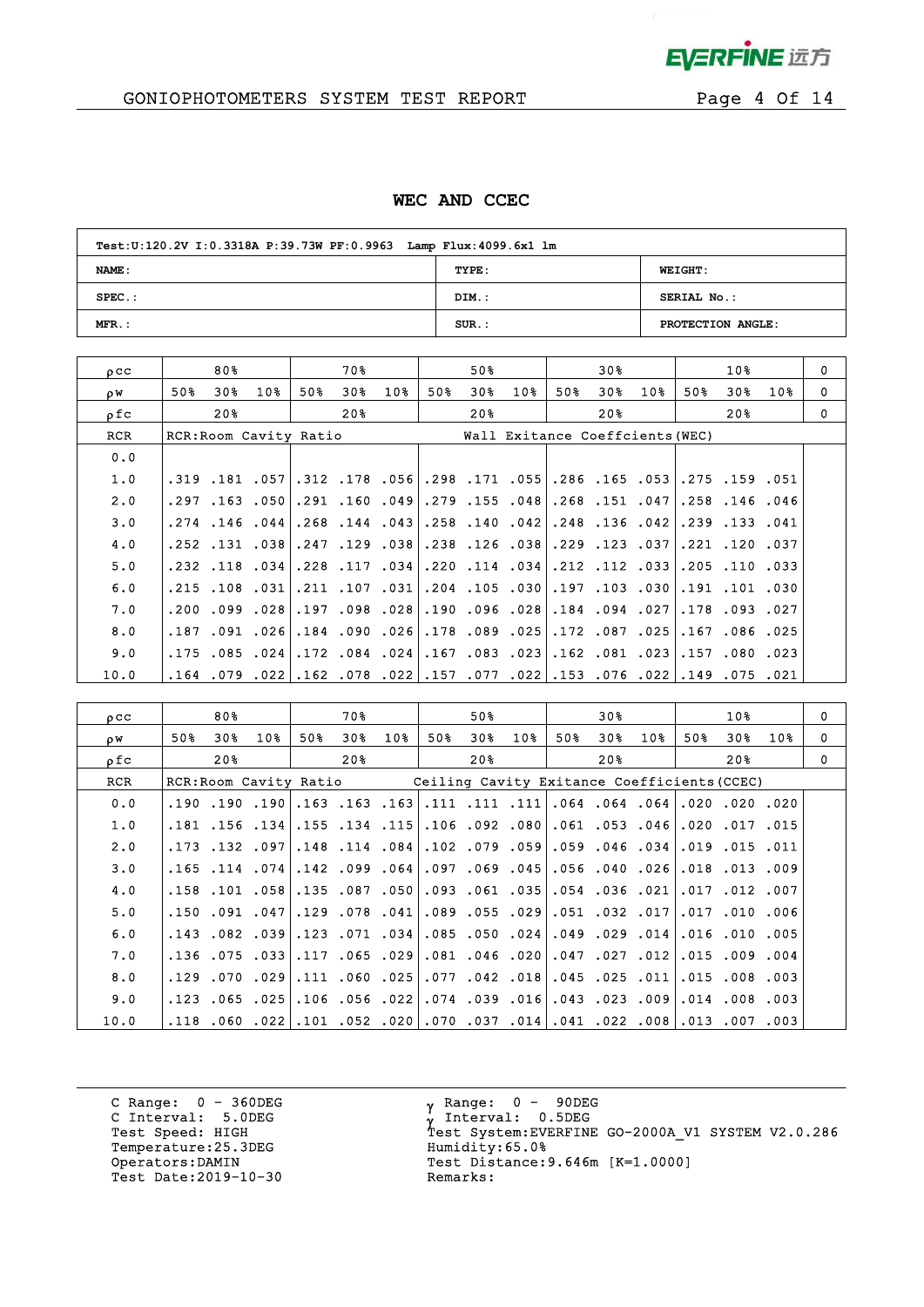

# GONIOPHOTOMETERS SYSTEM TEST REPORT FOR Page 4 Of 14

## **WEC AND CCEC**

| Test: U:120.2V I: 0.3318A P: 39.73W PF: 0.9963 Lamp Flux: 4099.6x1 lm |          |                   |  |  |  |  |  |  |  |
|-----------------------------------------------------------------------|----------|-------------------|--|--|--|--|--|--|--|
| NAME:                                                                 | TYPE:    | <b>WEIGHT:</b>    |  |  |  |  |  |  |  |
| $SPEC.$ :                                                             | DIM.:    | SERIAL No.:       |  |  |  |  |  |  |  |
| $MFR.$ :                                                              | $SUR.$ : | PROTECTION ANGLE: |  |  |  |  |  |  |  |

| $_{0}$ $_{\rm CC}$ |      | 80% |                                 |     | 70 %                 |                 |     | 50% |                                                                                |     | 30% |                 |     | 10%          |     | $\Omega$ |
|--------------------|------|-----|---------------------------------|-----|----------------------|-----------------|-----|-----|--------------------------------------------------------------------------------|-----|-----|-----------------|-----|--------------|-----|----------|
| ρW                 | 50%  | 30% | 10 <sub>8</sub>                 | 50% | 30%                  | 10 <sub>8</sub> | 50% | 30% | 10 <sub>8</sub>                                                                | 50% | 30% | 10 <sub>8</sub> | 50% | 30%          | 10% | 0        |
| ρfc                |      | 20% |                                 |     | 20%                  |                 |     | 20% |                                                                                |     | 20% |                 |     | 20%          |     | $\Omega$ |
| RCR                |      |     | RCR: Room Cavity Ratio          |     |                      |                 |     |     | Wall Exitance Coeffcients (WEC)                                                |     |     |                 |     |              |     |          |
| 0.0                |      |     |                                 |     |                      |                 |     |     |                                                                                |     |     |                 |     |              |     |          |
| 1.0                |      |     |                                 |     |                      |                 |     |     | .051. 159. 159. 1651. 165. 1656. 171. 1988. 168. 178. 178. 178. 167. 181. 159. |     |     |                 |     |              |     |          |
| 2.0                | .297 |     | 169، 160، 291، 163، 163،        |     |                      |                 |     |     | .279.155.048.158.151.047                                                       |     |     |                 |     | .258.146.046 |     |          |
| 3.0                |      |     | .274.146.044.268.144.043.       |     |                      |                 |     |     | .258.140.042.136.042.39.133.041                                                |     |     |                 |     |              |     |          |
| 4.0                |      |     | .252 .131 .038 .247 .129 .038 . |     |                      |                 |     |     | .238.126.038.1229.123.037                                                      |     |     |                 |     | .221.120.037 |     |          |
| 5.0                |      |     | .232.118.034.228.117.034        |     |                      |                 |     |     | .220.033.205.114.212.112.112.033.110.033                                       |     |     |                 |     |              |     |          |
| 6.0                |      |     | .215 .108 .031 .211 .107 .031   |     |                      |                 |     |     | .204.030.197.197.103.030                                                       |     |     |                 |     | .191.101.030 |     |          |
| 7.0                |      |     | .200.099.197.197.098.028.       |     |                      |                 |     |     | .190, 096, 184. 028, 096, 190.                                                 |     |     |                 |     | .178.093.027 |     |          |
| 8.0                | .187 |     | $.091$ $.026$                   |     | .184.090.026         |                 |     |     | .178.089.025.172.087.025.                                                      |     |     |                 |     | .167.086.025 |     |          |
| 9.0                |      |     | $.175$ $.085$ $.024$            |     | $.172$ $.084$ $.024$ |                 |     |     | $.167$ .083 .023 .162 .081 .023 .157 .080 .023                                 |     |     |                 |     |              |     |          |
| 10.0               | .164 |     |                                 |     |                      |                 |     |     | 021. 075. 079. 014. 022. 076. 053. 022. 077. 057. 022. 078. 022. 079. 079.     |     |     |                 |     |              |     |          |

| 0 <sub>C</sub> |                        | 80%                  |           |     | 70 %                                                                        |     |                                             | 50%                           |     |     | 30% |                                               |     | 10 <sub>8</sub>      |     | $\mathbf 0$ |
|----------------|------------------------|----------------------|-----------|-----|-----------------------------------------------------------------------------|-----|---------------------------------------------|-------------------------------|-----|-----|-----|-----------------------------------------------|-----|----------------------|-----|-------------|
| οW             | 50%                    | 30%                  | 10%       | 50% | 30%                                                                         | 10% | 50%                                         | 30 <sub>8</sub>               | 10% | 50% | 30% | 10%                                           | 50% | 30%                  | 10% | $\Omega$    |
| ρfc            |                        | 20 <sub>8</sub>      |           |     | 20%                                                                         |     |                                             | 20%                           |     |     | 20월 |                                               |     | 20%                  |     | $\Omega$    |
| <b>RCR</b>     | RCR: Room Cavity Ratio |                      |           |     |                                                                             |     | Ceiling Cavity Exitance Coefficients (CCEC) |                               |     |     |     |                                               |     |                      |     |             |
| 0.0            |                        | .190.190.190         |           |     | $.163$ .163.163                                                             |     |                                             |                               |     |     |     | .111.111.064.064.064.064.111.111.111.         |     |                      |     |             |
| 1.0            |                        | $.181$ $.156$ $.134$ |           |     | .155.134.115                                                                |     |                                             |                               |     |     |     | .106.092.080.061.053.046                      |     | .020.017.015         |     |             |
| 2.0            |                        | .173 .132 .097       |           |     | $.148$ $.114$ $.084$                                                        |     |                                             |                               |     |     |     | .102.079.059.059.046.034                      |     | $.019$ $.015$ $.011$ |     |             |
| 3.0            |                        | $.165$ $.114$ $.074$ |           |     | $.142$ $.099$ $.064$                                                        |     |                                             |                               |     |     |     | 009. 013. 018. 026. 040. 056. 045. 069. 097.  |     |                      |     |             |
| 4.0            |                        | $.158$ $.101$ $.058$ |           |     | .135.087.050                                                                |     |                                             | 021. 036. 054. 054. 093. 093. |     |     |     |                                               |     | .017.012.007         |     |             |
| 5.0            |                        |                      |           |     | ا041. 078. 150. 047. 041. 150. 150.                                         |     |                                             |                               |     |     |     | 006. 010. 017. 017. 032. 017. 039. 055. 089.  |     |                      |     |             |
| 6.0            |                        | $.143$ $.082$ $.039$ |           |     | $.123$ .071 .034                                                            |     |                                             |                               |     |     |     | .085.050.024.049.029.014                      |     | $.016$ $.010$ $.005$ |     |             |
| 7.0            |                        |                      |           |     | .136.075.117.117.136.029.                                                   |     |                                             |                               |     |     |     | .081.099.027.027.012.015.009.004              |     |                      |     |             |
| 8.0            | .129                   |                      | .070.0291 |     | .111 .060 .025                                                              |     |                                             |                               |     |     |     | .077.042.018.045.025.011                      |     | 015.008.003.         |     |             |
| 9.0            |                        |                      |           |     | .123.065.106.106.056.123.                                                   |     |                                             |                               |     |     |     | .003, 008, 016, 009, 023, 023, 016, 039, 034, |     |                      |     |             |
| 10.0           |                        |                      |           |     | .003, 007, 003, 008, 022, 041, 041, 037, 070, 020, 052, 011, 022, 060, 118, |     |                                             |                               |     |     |     |                                               |     |                      |     |             |

C Range: 0 - 360DEG C Interval: 5.0DEG Temperature:25.3DEG Humidity:65.0%<br>Operators:DAMIN Test Distance: Test Date: 2019-10-30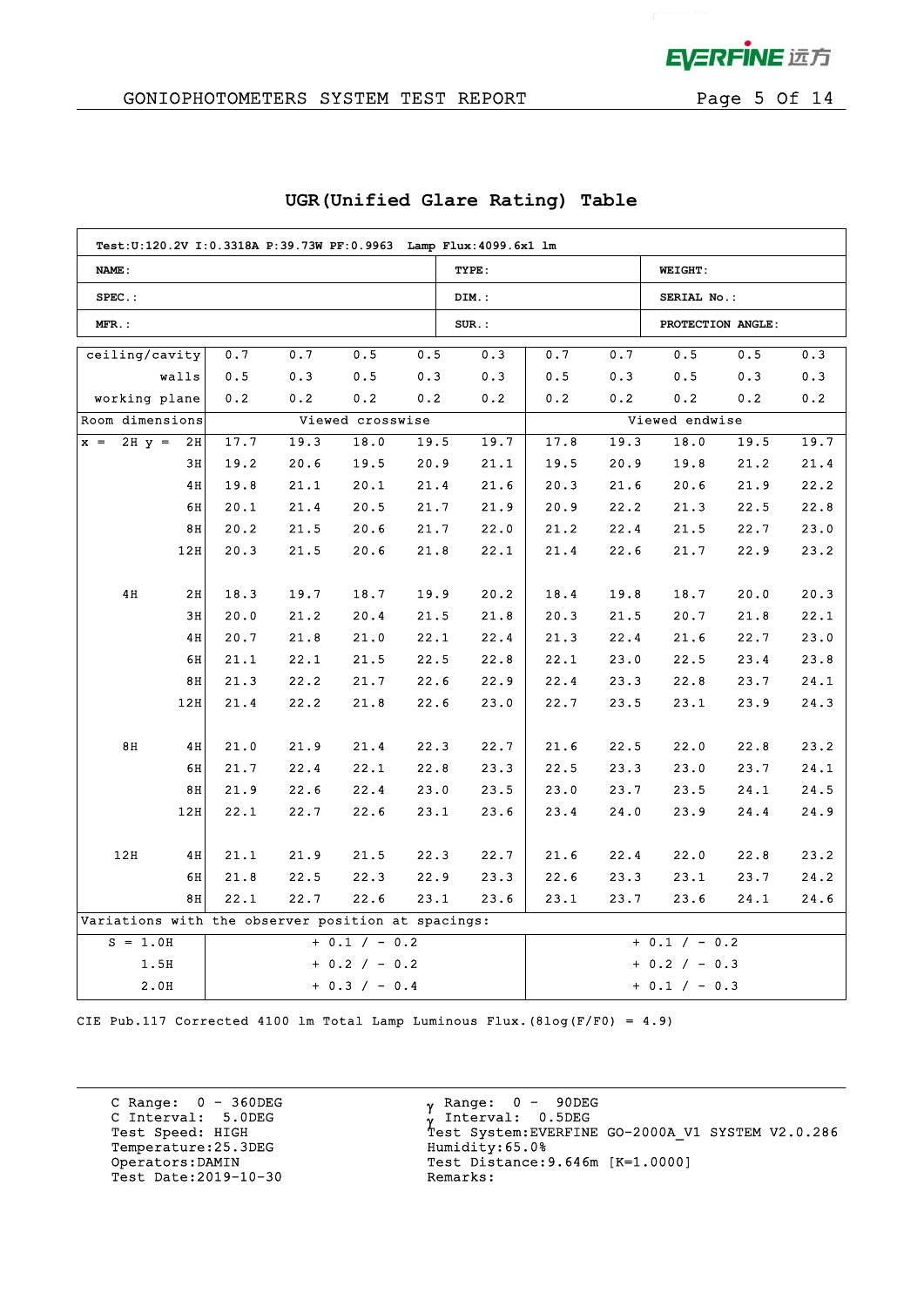

## GONIOPHOTOMETERS SYSTEM TEST REPORT FOR Page 5 Of 14

| Test: U:120.2V I:0.3318A P:39.73W PF: 0.9963 Lamp Flux: 4099.6x1 lm |       |      |      |                  |      |                 |                 |      |                   |      |      |  |
|---------------------------------------------------------------------|-------|------|------|------------------|------|-----------------|-----------------|------|-------------------|------|------|--|
| NAME:                                                               |       |      |      |                  |      | TYPE:           |                 |      | <b>WEIGHT:</b>    |      |      |  |
| $SPEC.$ :                                                           |       |      |      |                  |      | DIM.:           |                 |      | SERIAL No.:       |      |      |  |
| MFR.:                                                               |       |      |      |                  |      | $SUR.$ :        |                 |      | PROTECTION ANGLE: |      |      |  |
| ceiling/cavity                                                      |       | 0.7  | 0.7  | 0.5              | 0.5  | 0.3             | 0.7             | 0.7  | 0.5               | 0.5  | 0.3  |  |
|                                                                     | walls | 0.5  | 0.3  | 0.5              | 0.3  | 0.3             | 0.5             | 0.3  | 0.5               | 0.3  | 0.3  |  |
| working plane                                                       |       | 0.2  | 0.2  | 0.2              | 0.2  | 0.2             | 0.2             | 0.2  | 0.2               | 0.2  | 0.2  |  |
| Room dimensions                                                     |       |      |      | Viewed crosswise |      |                 |                 |      | Viewed endwise    |      |      |  |
| $2H y =$<br>$x =$                                                   | 2H    | 17.7 | 19.3 | 18.0             | 19.5 | 19.7            | 17.8            | 19.3 | 18.0              | 19.5 | 19.7 |  |
|                                                                     | 3H    | 19.2 | 20.6 | 19.5             | 20.9 | 21.1            | 19.5            | 20.9 | 19.8              | 21.2 | 21.4 |  |
|                                                                     | 4H    | 19.8 | 21.1 | 20.1             | 21.4 | 21.6            | 20.3            | 21.6 | 20.6              | 21.9 | 22.2 |  |
|                                                                     | 6H    | 20.1 | 21.4 | 20.5             | 21.7 | 21.9            | 20.9            | 22.2 | 21.3              | 22.5 | 22.8 |  |
|                                                                     | 8H    | 20.2 | 21.5 | 20.6             | 21.7 | 22.0            | 21.2            | 22.4 | 21.5              | 22.7 | 23.0 |  |
|                                                                     | 12H   | 20.3 | 21.5 | 20.6             | 21.8 | 22.1            | 21.4            | 22.6 | 21.7              | 22.9 | 23.2 |  |
|                                                                     |       |      |      |                  |      |                 |                 |      |                   |      |      |  |
| 4H                                                                  | 2H    | 18.3 | 19.7 | 18.7             | 19.9 | 20.2            | 18.4            | 19.8 | 18.7              | 20.0 | 20.3 |  |
|                                                                     | 3H    | 20.0 | 21.2 | 20.4             | 21.5 | 21.8            | 20.3            | 21.5 | 20.7              | 21.8 | 22.1 |  |
|                                                                     | 4H    | 20.7 | 21.8 | 21.0             | 22.1 | 22.4            | 21.3            | 22.4 | 21.6              | 22.7 | 23.0 |  |
|                                                                     | 6H    | 21.1 | 22.1 | 21.5             | 22.5 | 22.8            | 22.1            | 23.0 | 22.5              | 23.4 | 23.8 |  |
|                                                                     | 8H    | 21.3 | 22.2 | 21.7             | 22.6 | 22.9            | 22.4            | 23.3 | 22.8              | 23.7 | 24.1 |  |
|                                                                     | 12H   | 21.4 | 22.2 | 21.8             | 22.6 | 23.0            | 22.7            | 23.5 | 23.1              | 23.9 | 24.3 |  |
|                                                                     |       |      |      |                  |      |                 |                 |      |                   |      |      |  |
| 8H                                                                  | 4H    | 21.0 | 21.9 | 21.4             | 22.3 | 22.7            | 21.6            | 22.5 | 22.0              | 22.8 | 23.2 |  |
|                                                                     | 6H    | 21.7 | 22.4 | 22.1             | 22.8 | 23.3            | 22.5            | 23.3 | 23.0              | 23.7 | 24.1 |  |
|                                                                     | 8H    | 21.9 | 22.6 | 22.4             | 23.0 | 23.5            | 23.0            | 23.7 | 23.5              | 24.1 | 24.5 |  |
|                                                                     | 12H   | 22.1 | 22.7 | 22.6             | 23.1 | 23.6            | 23.4            | 24.0 | 23.9              | 24.4 | 24.9 |  |
|                                                                     |       |      |      |                  |      |                 |                 |      |                   |      |      |  |
| 12H                                                                 | 4H    | 21.1 | 21.9 | 21.5             | 22.3 | 22.7            | 21.6            | 22.4 | 22.0              | 22.8 | 23.2 |  |
|                                                                     | 6H    | 21.8 | 22.5 | 22.3             | 22.9 | 23.3            | 22.6            | 23.3 | 23.1              | 23.7 | 24.2 |  |
| 8H<br>22.1<br>22.7<br>22.6<br>23.1<br>23.6                          |       |      |      |                  |      | 23.1            | 23.7            | 23.6 | 24.1              | 24.6 |      |  |
| Variations with the observer position at spacings:                  |       |      |      |                  |      |                 |                 |      |                   |      |      |  |
| $+ 0.1 / - 0.2$<br>$S = 1.0H$                                       |       |      |      |                  |      |                 | $+ 0.1 / - 0.2$ |      |                   |      |      |  |
| 1.5H<br>$+ 0.2 / - 0.2$                                             |       |      |      |                  |      | $+ 0.2 / - 0.3$ |                 |      |                   |      |      |  |
| 2.0H<br>$+ 0.3 / - 0.4$                                             |       |      |      |                  |      | $+ 0.1 / - 0.3$ |                 |      |                   |      |      |  |

## **UGR(Unified Glare Rating) Table**

CIE Pub.117 Corrected 4100 lm Total Lamp Luminous Flux.(8log(F/F0) = 4.9)

C Range: 0 - 360DEG C Interval: 5.0DEG Temperature:25.3DEG Humidity:65.0% Test Date: 2019-10-30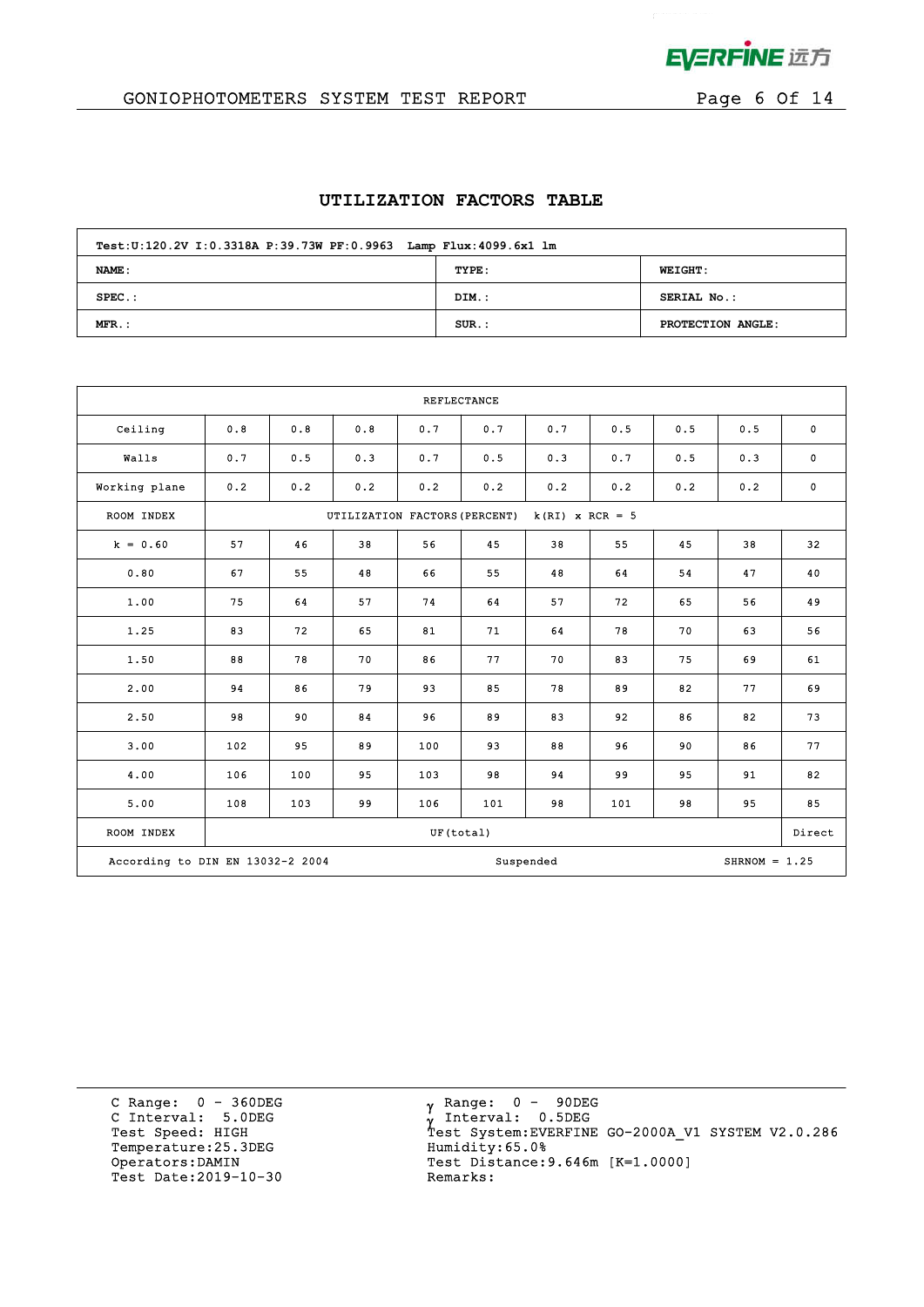

# GONIOPHOTOMETERS SYSTEM TEST REPORT FOR Page 6 Of 14

## **UTILIZATION FACTORS TABLE**

| Test: U:120.2V I: 0.3318A P:39.73W PF: 0.9963 Lamp Flux: 4099.6x1 lm |          |                   |  |  |  |  |  |  |
|----------------------------------------------------------------------|----------|-------------------|--|--|--|--|--|--|
| NAME:                                                                | TYPE:    | <b>WEIGHT:</b>    |  |  |  |  |  |  |
| $SPEC.$ :                                                            | DIM.:    | SERIAL No.:       |  |  |  |  |  |  |
| $MFR.$ :                                                             | $SUR$ .: | PROTECTION ANGLE: |  |  |  |  |  |  |

| REFLECTANCE                      |     |                                                    |     |           |     |           |     |     |                 |             |  |
|----------------------------------|-----|----------------------------------------------------|-----|-----------|-----|-----------|-----|-----|-----------------|-------------|--|
| Ceiling                          | 0.8 | 0.8                                                | 0.8 | 0.7       | 0.7 | 0.7       | 0.5 | 0.5 | 0.5             | $\mathbf 0$ |  |
| Walls                            | 0.7 | 0.5                                                | 0.3 | 0.7       | 0.5 | 0.3       | 0.7 | 0.5 | 0.3             | $\mathbf 0$ |  |
| Working plane                    | 0.2 | 0.2                                                | 0.2 | 0.2       | 0.2 | 0.2       | 0.2 | 0.2 | 0.2             | $\mathbf 0$ |  |
| ROOM INDEX                       |     | $k(RI)$ x RCR = 5<br>UTILIZATION FACTORS (PERCENT) |     |           |     |           |     |     |                 |             |  |
| $k = 0.60$                       | 57  | 46                                                 | 38  | 56        | 45  | 38        | 55  | 45  | 38              | 32          |  |
| 0.80                             | 67  | 55                                                 | 48  | 66        | 55  | 48        | 64  | 54  | 47              | 40          |  |
| 1.00                             | 75  | 64                                                 | 57  | 74        | 64  | 57        | 72  | 65  | 56              | 49          |  |
| 1.25                             | 83  | 72                                                 | 65  | 81        | 71  | 64        | 78  | 70  | 63              | 56          |  |
| 1.50                             | 88  | 78                                                 | 70  | 86        | 77  | 70        | 83  | 75  | 69              | 61          |  |
| 2.00                             | 94  | 86                                                 | 79  | 93        | 85  | 78        | 89  | 82  | 77              | 69          |  |
| 2.50                             | 98  | 90                                                 | 84  | 96        | 89  | 83        | 92  | 86  | 82              | 73          |  |
| 3.00                             | 102 | 95                                                 | 89  | 100       | 93  | 88        | 96  | 90  | 86              | 77          |  |
| 4.00                             | 106 | 100                                                | 95  | 103       | 98  | 94        | 99  | 95  | 91              | 82          |  |
| 5.00                             | 108 | 103                                                | 99  | 106       | 101 | 98        | 101 | 98  | 95              | 85          |  |
| ROOM INDEX                       |     |                                                    |     | UF(total) |     |           |     |     |                 | Direct      |  |
| According to DIN EN 13032-2 2004 |     |                                                    |     |           |     | Suspended |     |     | SHRNOM = $1.25$ |             |  |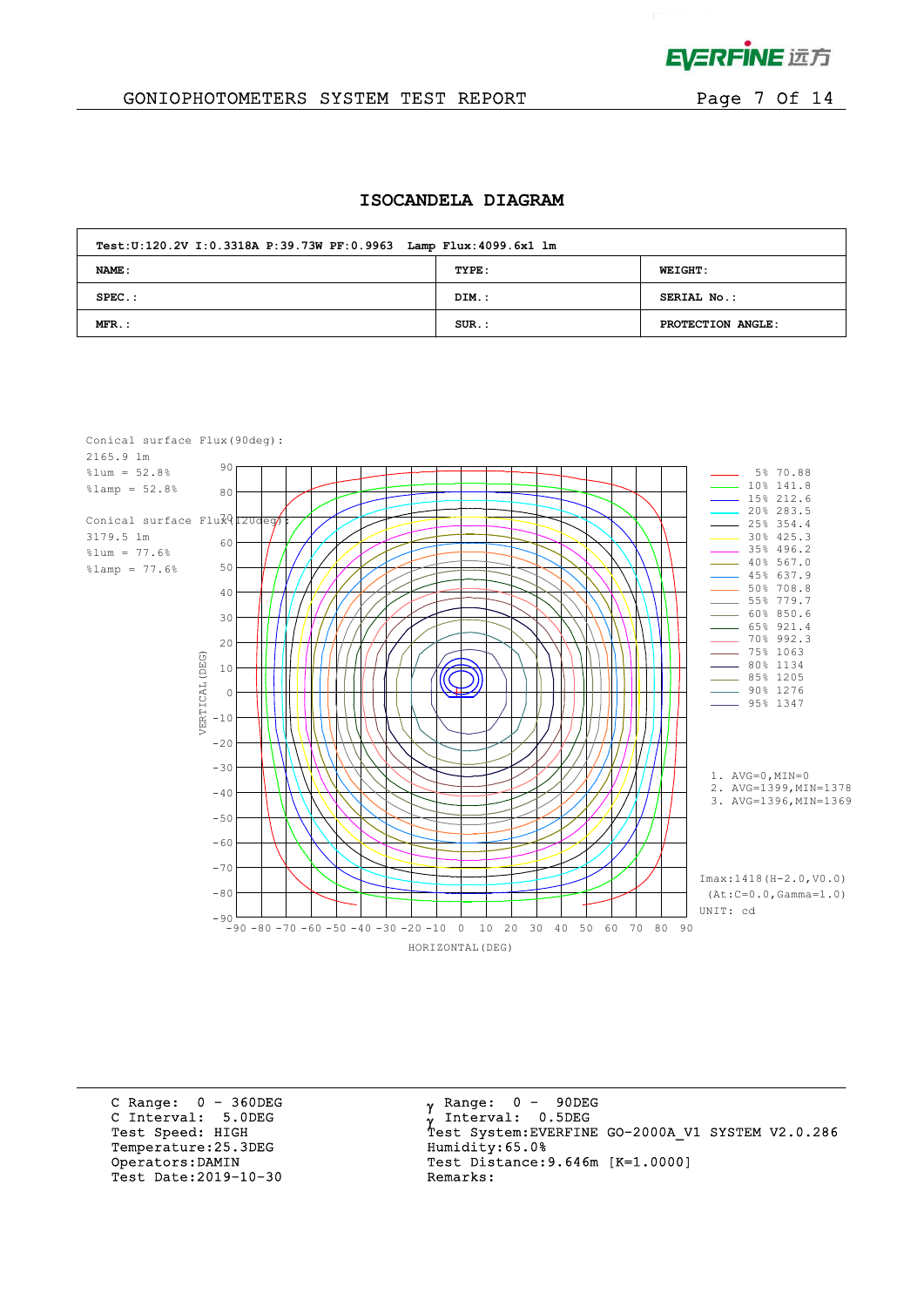

 $\mathbf{r}^{(1)}$  and  $\mathbf{r}^{(2)}$ 

## GONIOPHOTOMETERS SYSTEM TEST REPORT FOR Page 7 Of 14

#### **ISOCANDELA DIAGRAM**

| Test: U:120.2V I: 0.3318A P:39.73W PF: 0.9963 Lamp Flux: 4099.6x1 lm |          |                    |  |  |  |  |  |  |
|----------------------------------------------------------------------|----------|--------------------|--|--|--|--|--|--|
| NAME:                                                                | TYPE:    | <b>WEIGHT:</b>     |  |  |  |  |  |  |
| $SPEC.$ :                                                            | DIM.:    | <b>SERIAL No.:</b> |  |  |  |  |  |  |
| $MFR$ .:                                                             | $SUR$ .: | PROTECTION ANGLE:  |  |  |  |  |  |  |



C Range: 0 - 360DEG C Interval: 5.0DEG Temperature: 25.3DEG Humidity: 65.0% Test Date:  $2019-10-30$ 

 $\gamma$  Range:  $0 - 90$ DEG Interval: 0.5DEG Test Speed: HIGH Test System:EVERFINE GO-2000A\_V1 SYSTEM V2.0.286 Operators:DAMIN Test Distance:9.646m [K=1.0000]<br>Test Date:2019-10-30 Remarks: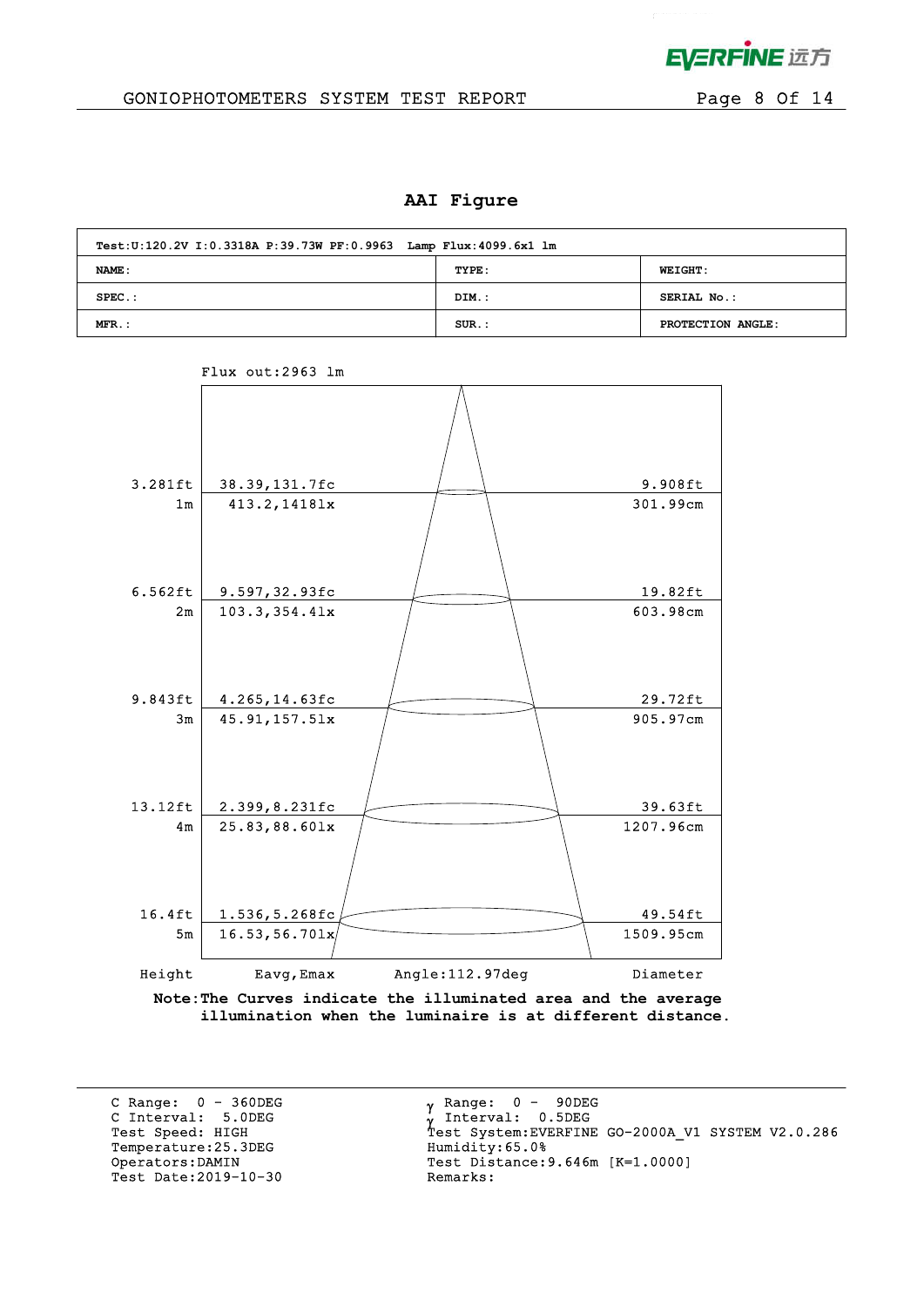

## GONIOPHOTOMETERS SYSTEM TEST REPORT FOR Page 8 Of 14

### **AAI Figure**

| Test: U:120.2V I: 0.3318A P:39.73W PF: 0.9963 Lamp Flux: 4099.6x1 lm |          |                   |  |  |  |  |  |  |  |
|----------------------------------------------------------------------|----------|-------------------|--|--|--|--|--|--|--|
| NAME :<br>TYPE:<br><b>WEIGHT:</b>                                    |          |                   |  |  |  |  |  |  |  |
| $SPEC.$ :                                                            | DIM.:    | SERIAL No.:       |  |  |  |  |  |  |  |
| $MFR$ .:                                                             | $SUR.$ : | PROTECTION ANGLE: |  |  |  |  |  |  |  |



Flux out:2963 lm

 **illumination when the luminaire is at different distance.**

C Range: 0 - 360DEG C Interval: 5.0DEG Temperature: 25.3DEG Test Date:  $2019-10-30$ 

 $\gamma$  Range:  $0 - 90$ DEG Interval: 0.5DEG C INCEIVAL: 3.0DEG<br>
Test Speed: HIGH Test System:EVERFINE GO-2000A\_V1 SYSTEM V2.0.286<br>
Temperature:25.3DEG Humidity:65.0% Operators:DAMIN Test Distance:9.646m [K=1.0000]<br>Test Date:2019-10-30 Remarks: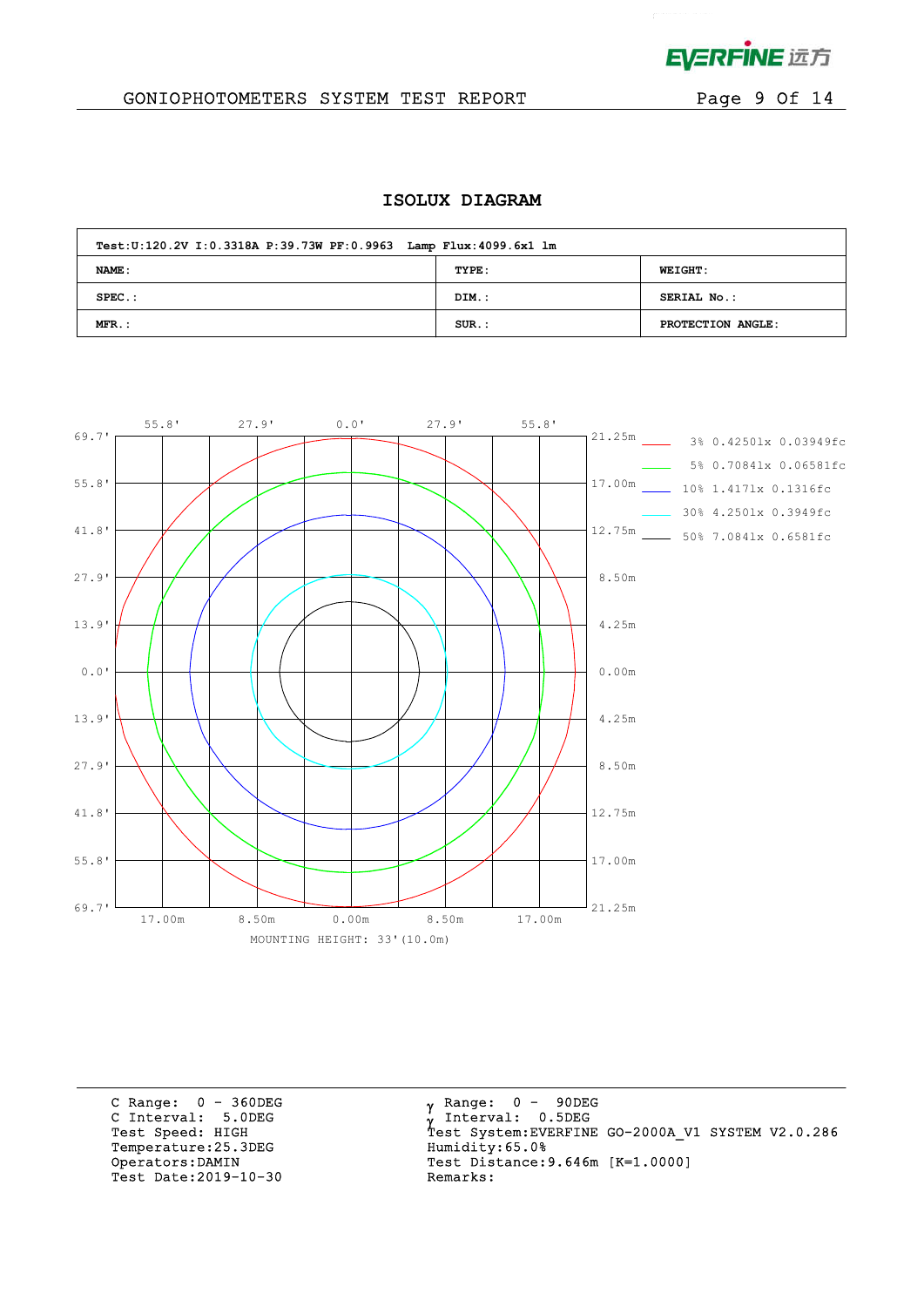

 $\mathbf{r}^{\mathrm{max}}$  and  $\mathbf{r}^{\mathrm{max}}$ 

# GONIOPHOTOMETERS SYSTEM TEST REPORT FOR Page 9 Of 14

## **ISOLUX DIAGRAM**

| Test: U:120.2V I: 0.3318A P:39.73W PF: 0.9963 Lamp Flux: 4099.6x1 lm |          |                    |  |  |  |  |  |  |  |  |
|----------------------------------------------------------------------|----------|--------------------|--|--|--|--|--|--|--|--|
| NAME:                                                                | TYPE:    | <b>WEIGHT:</b>     |  |  |  |  |  |  |  |  |
| $SPEC.$ :                                                            | DIM.:    | <b>SERIAL No.:</b> |  |  |  |  |  |  |  |  |
| $MFR.$ :                                                             | $SUR.$ : | PROTECTION ANGLE:  |  |  |  |  |  |  |  |  |



C Range: 0 - 360DEG C Interval: 5.0DEG Temperature:25.3DEG Humidity:65.0%<br>Operators:DAMIN Test Distance:9 Test Date:  $2019-10-30$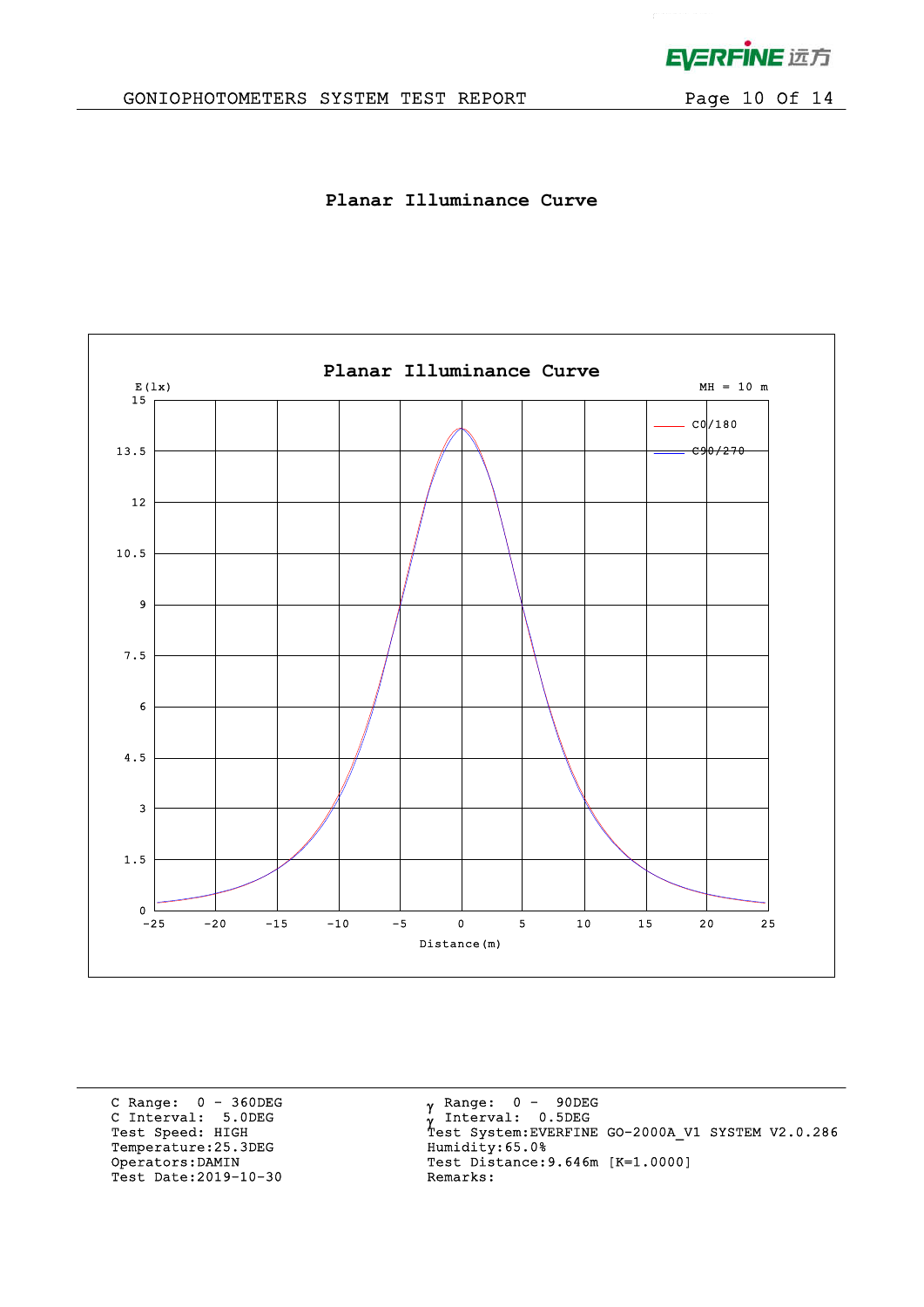

 $\mathbf{r}^{(1)}$  .

# GONIOPHOTOMETERS SYSTEM TEST REPORT Page 10 Of 14

**Planar Illuminance Curve**



C Range: 0 - 360DEG C Interval: 5.0DEG Temperature:25.3DEG Humidity:65.0%<br>Operators:DAMIN Test Distance:9 Test Date: 2019-10-30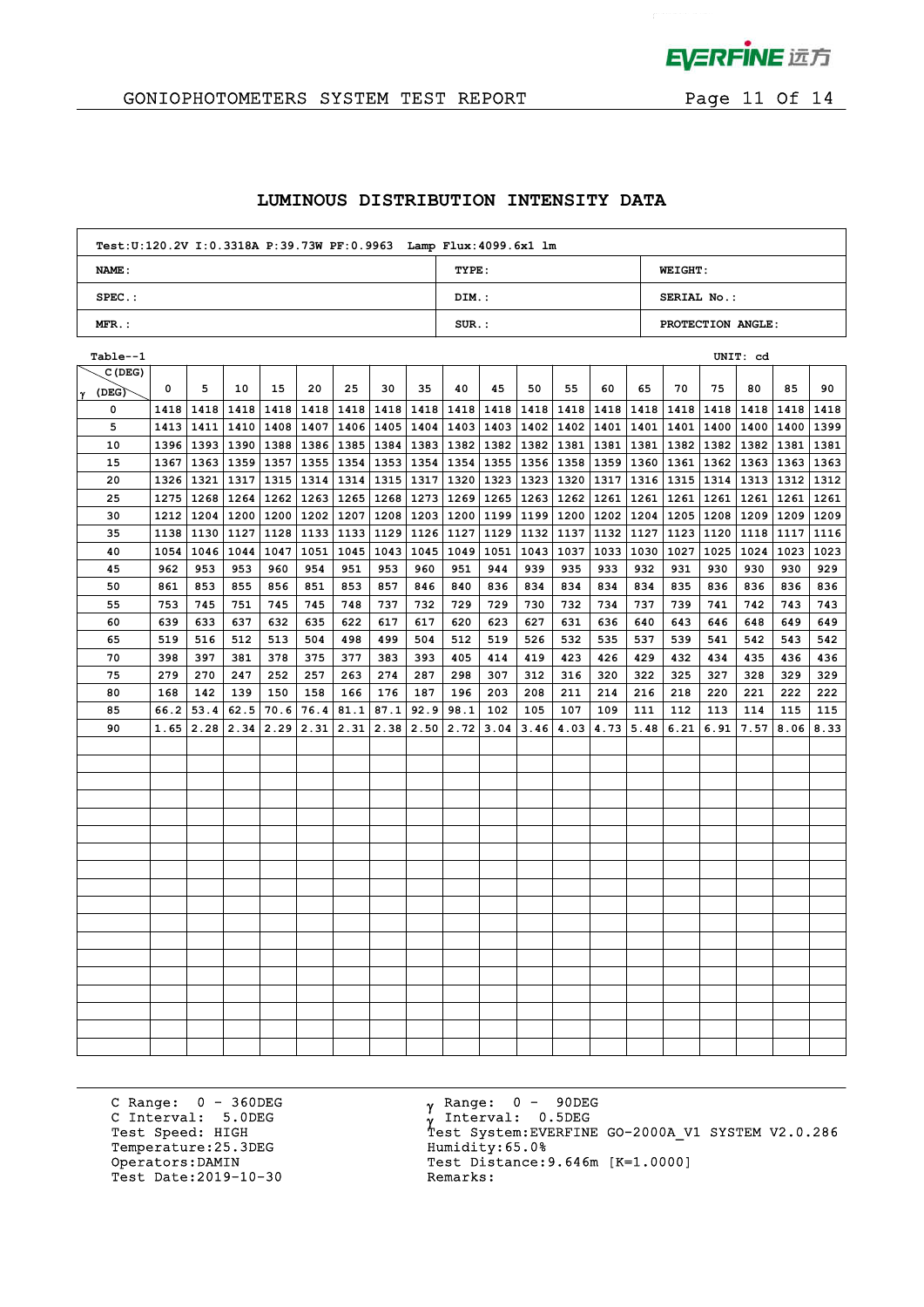

 $\mathcal{L}^{\mathcal{L}}$ 

## GONIOPHOTOMETERS SYSTEM TEST REPORT FOR Page 11 Of 14

## **LUMINOUS DISTRIBUTION INTENSITY DATA**

| Test: U:120.2V I: 0.3318A P:39.73W PF: 0.9963 Lamp Flux: 4099.6x1 lm |          |                   |
|----------------------------------------------------------------------|----------|-------------------|
| NAME:                                                                | TYPE:    | <b>WEIGHT:</b>    |
| $SPEC.$ :                                                            | DIM.:    | SERIAL No.:       |
| $MFR.$ :                                                             | $SUR$ .: | PROTECTION ANGLE: |

| Table--1   |      |      |      |      |                                  |      |               |             |             |             |      |      |                           |             |                    |      | UNIT: cd  |                           |      |
|------------|------|------|------|------|----------------------------------|------|---------------|-------------|-------------|-------------|------|------|---------------------------|-------------|--------------------|------|-----------|---------------------------|------|
| C(DEG)     |      |      |      |      |                                  |      |               |             |             |             |      |      |                           |             |                    |      |           |                           |      |
| (DEG)<br>Y | 0    | 5    | 10   | 15   | 20                               | 25   | 30            | 35          | 40          | 45          | 50   | 55   | 60                        | 65          | 70                 | 75   | 80        | 85                        | 90   |
| 0          | 1418 | 1418 | 1418 |      | 1418   1418                      | 1418 |               | 1418   1418 |             | 1418 1418   | 1418 | 1418 |                           |             | 1418   1418   1418 |      | 1418 1418 | 1418                      | 1418 |
| 5          | 1413 |      |      |      | 1411   1410   1408   1407        |      | $1406$   1405 | 1404        | 1403 1403   |             | 1402 |      | 1402   1401   1401   1401 |             |                    |      |           | 1400   1400   1400   1399 |      |
| 10         | 1396 |      |      |      | 1393   1390   1388   1386   1385 |      | 1384          | 1383        |             | 1382   1382 | 1382 | 1381 | 1381                      |             | 1381   1382        | 1382 | 1382      | 1381   1381               |      |
| 15         | 1367 |      |      |      | 1363   1359   1357   1355        | 1354 | 1353          | 1354        | 1354   1355 |             | 1356 | 1358 | 1359                      | 1360 1361   |                    | 1362 | 1363      | 1363 1363                 |      |
| 20         | 1326 | 1321 | 1317 |      | 1315   1314                      | 1314 | 1315          | 1317        | 1320   1323 |             | 1323 | 1320 | 1317                      | 1316   1315 |                    | 1314 | 1313      | 1312                      | 1312 |
| 25         | 1275 | 1268 | 1264 |      | $1262$   1263                    | 1265 | 1268          | 1273        | 1269 1265   |             | 1263 | 1262 | 1261                      | 1261        | 1261               | 1261 | 1261      | 1261                      | 1261 |
| 30         | 1212 | 1204 | 1200 |      | 1200   1202   1207               |      | 1208          | 1203        | 1200 1199   |             | 1199 |      | 1200 1202                 | 1204 1205   |                    | 1208 | 1209      | 1209 1209                 |      |
| 35         | 1138 | 1130 | 1127 |      | $1128$   1133                    | 1133 | 1129          | 1126        | 1127 1129   |             | 1132 | 1137 | 1132                      | 1127   1123 |                    | 1120 |           | $1118$   1117             | 1116 |
| 40         | 1054 | 1046 | 1044 |      | 1047 1051                        | 1045 | 1043          | 1045        | 1049        | 1051        | 1043 | 1037 | 1033                      | 1030        | 1027               | 1025 | 1024      | 1023                      | 1023 |
| 45         | 962  | 953  | 953  | 960  | 954                              | 951  | 953           | 960         | 951         | 944         | 939  | 935  | 933                       | 932         | 931                | 930  | 930       | 930                       | 929  |
| 50         | 861  | 853  | 855  | 856  | 851                              | 853  | 857           | 846         | 840         | 836         | 834  | 834  | 834                       | 834         | 835                | 836  | 836       | 836                       | 836  |
| 55         | 753  | 745  | 751  | 745  | 745                              | 748  | 737           | 732         | 729         | 729         | 730  | 732  | 734                       | 737         | 739                | 741  | 742       | 743                       | 743  |
| 60         | 639  | 633  | 637  | 632  | 635                              | 622  | 617           | 617         | 620         | 623         | 627  | 631  | 636                       | 640         | 643                | 646  | 648       | 649                       | 649  |
| 65         | 519  | 516  | 512  | 513  | 504                              | 498  | 499           | 504         | 512         | 519         | 526  | 532  | 535                       | 537         | 539                | 541  | 542       | 543                       | 542  |
| 70         | 398  | 397  | 381  | 378  | 375                              | 377  | 383           | 393         | 405         | 414         | 419  | 423  | 426                       | 429         | 432                | 434  | 435       | 436                       | 436  |
| 75         | 279  | 270  | 247  | 252  | 257                              | 263  | 274           | 287         | 298         | 307         | 312  | 316  | 320                       | 322         | 325                | 327  | 328       | 329                       | 329  |
| 80         | 168  | 142  | 139  | 150  | 158                              | 166  | 176           | 187         | 196         | 203         | 208  | 211  | 214                       | 216         | 218                | 220  | 221       | 222                       | 222  |
| 85         | 66.2 | 53.4 | 62.5 | 70.6 | 76.4                             | 81.1 | 87.1          | 92.9        | 98.1        | 102         | 105  | 107  | 109                       | 111         | 112                | 113  | 114       | 115                       | 115  |
| 90         | 1.65 | 2.28 | 2.34 | 2.29 | 2.31                             | 2.31 | 2.38          | 2.50        | 2.72        | 3.04        | 3.46 | 4.03 | 4.73                      | 5.48        | 6.21               | 6.91 | 7.57      | 8.06                      | 8.33 |
|            |      |      |      |      |                                  |      |               |             |             |             |      |      |                           |             |                    |      |           |                           |      |
|            |      |      |      |      |                                  |      |               |             |             |             |      |      |                           |             |                    |      |           |                           |      |
|            |      |      |      |      |                                  |      |               |             |             |             |      |      |                           |             |                    |      |           |                           |      |
|            |      |      |      |      |                                  |      |               |             |             |             |      |      |                           |             |                    |      |           |                           |      |
|            |      |      |      |      |                                  |      |               |             |             |             |      |      |                           |             |                    |      |           |                           |      |
|            |      |      |      |      |                                  |      |               |             |             |             |      |      |                           |             |                    |      |           |                           |      |
|            |      |      |      |      |                                  |      |               |             |             |             |      |      |                           |             |                    |      |           |                           |      |
|            |      |      |      |      |                                  |      |               |             |             |             |      |      |                           |             |                    |      |           |                           |      |
|            |      |      |      |      |                                  |      |               |             |             |             |      |      |                           |             |                    |      |           |                           |      |
|            |      |      |      |      |                                  |      |               |             |             |             |      |      |                           |             |                    |      |           |                           |      |
|            |      |      |      |      |                                  |      |               |             |             |             |      |      |                           |             |                    |      |           |                           |      |
|            |      |      |      |      |                                  |      |               |             |             |             |      |      |                           |             |                    |      |           |                           |      |
|            |      |      |      |      |                                  |      |               |             |             |             |      |      |                           |             |                    |      |           |                           |      |
|            |      |      |      |      |                                  |      |               |             |             |             |      |      |                           |             |                    |      |           |                           |      |
|            |      |      |      |      |                                  |      |               |             |             |             |      |      |                           |             |                    |      |           |                           |      |
|            |      |      |      |      |                                  |      |               |             |             |             |      |      |                           |             |                    |      |           |                           |      |
|            |      |      |      |      |                                  |      |               |             |             |             |      |      |                           |             |                    |      |           |                           |      |
|            |      |      |      |      |                                  |      |               |             |             |             |      |      |                           |             |                    |      |           |                           |      |

C Range: 0 - 360DEG C Interval: 5.0DEG Temperature:25.3DEG Humidity:65.0%<br>Operators:DAMIN Test Distance: Test Date: 2019-10-30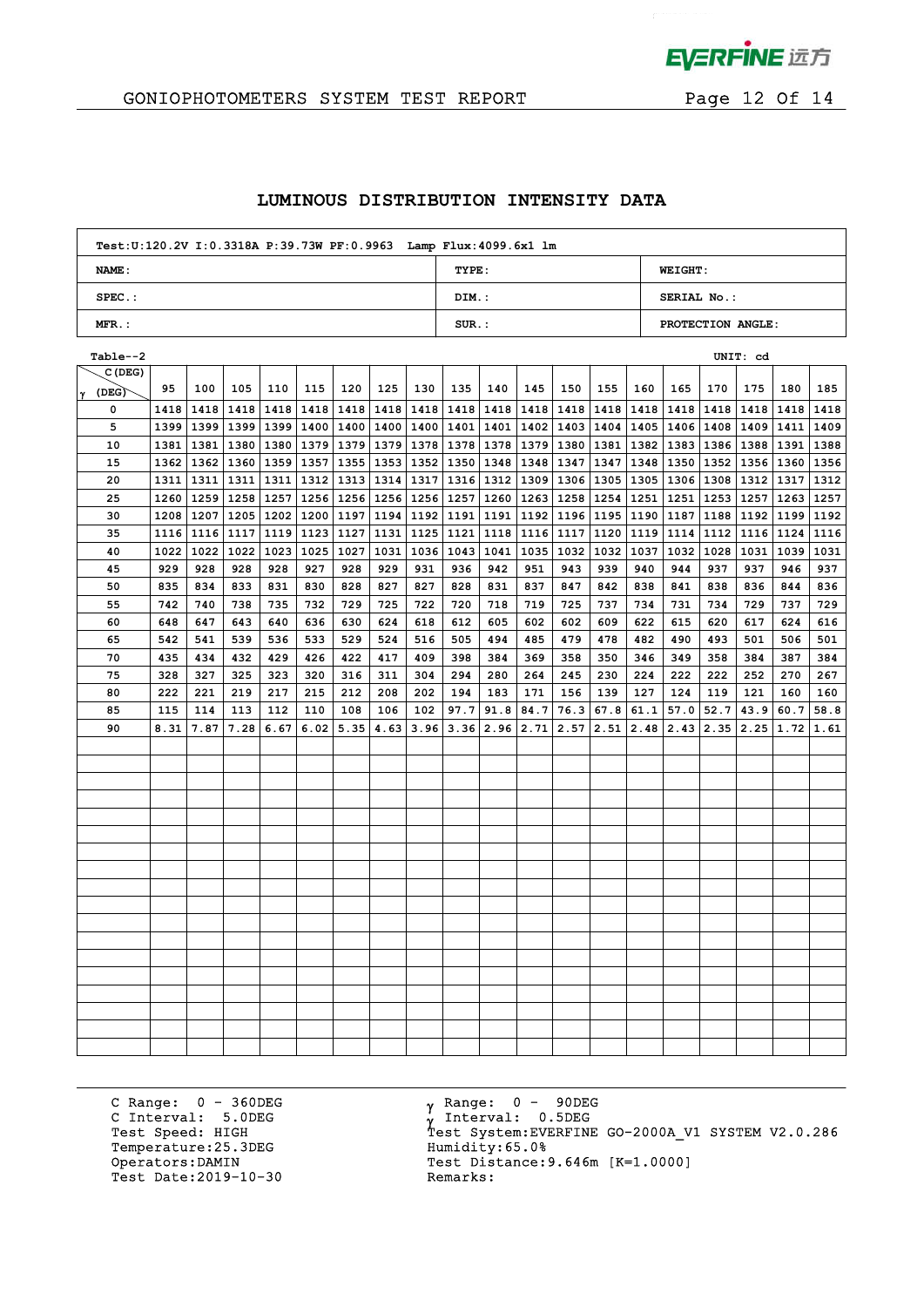

# GONIOPHOTOMETERS SYSTEM TEST REPORT FOR Page 12 Of 14

## **LUMINOUS DISTRIBUTION INTENSITY DATA**

| Test: U:120.2V I: 0.3318A P:39.73W PF: 0.9963 Lamp Flux: 4099.6x1 lm |          |                   |
|----------------------------------------------------------------------|----------|-------------------|
| NAME:                                                                | TYPE:    | <b>WEIGHT:</b>    |
| $SPEC.$ :                                                            | DIM.:    | SERIAL No.:       |
| $MFR.$ :                                                             | $SUR$ .: | PROTECTION ANGLE: |

| Table--2   |      |      |             |      |                                                              |      |      |               |                    |           |      |      |                           |               |             |      | UNIT: cd    |                     |      |
|------------|------|------|-------------|------|--------------------------------------------------------------|------|------|---------------|--------------------|-----------|------|------|---------------------------|---------------|-------------|------|-------------|---------------------|------|
| C (DEG)    |      |      |             |      |                                                              |      |      |               |                    |           |      |      |                           |               |             |      |             |                     |      |
| (DEG)<br>Y | 95   | 100  | 105         | 110  | 115                                                          | 120  | 125  | 130           | 135                | 140       | 145  | 150  | 155                       | 160           | 165         | 170  | 175         | 180                 | 185  |
| 0          | 1418 |      | 1418   1418 |      | 1418   1418                                                  | 1418 |      | $1418$   1418 |                    | 1418 1418 | 1418 | 1418 | 1418                      |               | 1418   1418 | 1418 | 1418        | 1418                | 1418 |
| 5          | 1399 |      |             |      | 1399   1399   1399   1400   1400   1400   1400   1401   1401 |      |      |               |                    |           | 1402 |      | 1403   1404   1405   1406 |               |             |      |             | 1408 1409 1411 1409 |      |
| 10         | 1381 | 1381 |             |      | 1380   1380   1379   1379   1379                             |      |      | 1378          | 1378   1378        |           | 1379 | 1380 | 1381                      |               | 1382   1383 |      | 1386   1388 | 1391   1388         |      |
| 15         | 1362 | 1362 |             |      | 1360   1359   1357   1355                                    |      | 1353 | 1352          | 1350 1348          |           | 1348 | 1347 | 1347                      | 1348   1350   |             | 1352 | 1356        | 1360   1356         |      |
| 20         | 1311 | 1311 | 1311        |      | 1311   1312                                                  | 1313 | 1314 | 1317          | 1316 1312          |           | 1309 | 1306 | 1305                      | 1305   1306   |             | 1308 | 1312        | 1317   1312         |      |
| 25         | 1260 | 1259 |             |      | 1258   1257   1256                                           | 1256 | 1256 |               | 1256   1257   1260 |           | 1263 |      | 1258 1254                 | 1251          | 1251        | 1253 | 1257        | 1263   1257         |      |
| 30         | 1208 | 1207 |             |      | $1205$   1202   1200                                         | 1197 | 1194 | 1192          | 1191 1191          |           | 1192 |      | 1196 1195                 | 1190 1187     |             | 1188 |             | 1192   1199   1192  |      |
| 35         | 1116 | 1116 | 1117        |      | $1119$   1123                                                | 1127 | 1131 | 1125          | 1121 1118          |           | 1116 | 1117 | 1120                      | 1119 1114     |             | 1112 |             | 1116   1124   1116  |      |
| 40         | 1022 | 1022 | 1022        |      | 1023 1025                                                    | 1027 | 1031 | 1036          | 1043               | 1041      | 1035 | 1032 | 1032                      | 1037          | 1032        | 1028 | 1031        | 1039                | 1031 |
| 45         | 929  | 928  | 928         | 928  | 927                                                          | 928  | 929  | 931           | 936                | 942       | 951  | 943  | 939                       | 940           | 944         | 937  | 937         | 946                 | 937  |
| 50         | 835  | 834  | 833         | 831  | 830                                                          | 828  | 827  | 827           | 828                | 831       | 837  | 847  | 842                       | 838           | 841         | 838  | 836         | 844                 | 836  |
| 55         | 742  | 740  | 738         | 735  | 732                                                          | 729  | 725  | 722           | 720                | 718       | 719  | 725  | 737                       | 734           | 731         | 734  | 729         | 737                 | 729  |
| 60         | 648  | 647  | 643         | 640  | 636                                                          | 630  | 624  | 618           | 612                | 605       | 602  | 602  | 609                       | 622           | 615         | 620  | 617         | 624                 | 616  |
| 65         | 542  | 541  | 539         | 536  | 533                                                          | 529  | 524  | 516           | 505                | 494       | 485  | 479  | 478                       | 482           | 490         | 493  | 501         | 506                 | 501  |
| 70         | 435  | 434  | 432         | 429  | 426                                                          | 422  | 417  | 409           | 398                | 384       | 369  | 358  | 350                       | 346           | 349         | 358  | 384         | 387                 | 384  |
| 75         | 328  | 327  | 325         | 323  | 320                                                          | 316  | 311  | 304           | 294                | 280       | 264  | 245  | 230                       | 224           | 222         | 222  | 252         | 270                 | 267  |
| 80         | 222  | 221  | 219         | 217  | 215                                                          | 212  | 208  | 202           | 194                | 183       | 171  | 156  | 139                       | 127           | 124         | 119  | 121         | 160                 | 160  |
| 85         | 115  | 114  | 113         | 112  | 110                                                          | 108  | 106  | 102           | 97.7               | 91.8      | 84.7 | 76.3 | 67.8                      | 61.1          | 57.0        | 52.7 | 43.9        | 60.7                | 58.8 |
| 90         | 8.31 | 7.87 | 7.28        | 6.67 | 6.02                                                         | 5.35 | 4.63 | 3.96          |                    | 3.36 2.96 | 2.71 | 2.57 | 2.51                      | $2.48$   2.43 |             | 2.35 | 2.25        | 1.72                | 1.61 |
|            |      |      |             |      |                                                              |      |      |               |                    |           |      |      |                           |               |             |      |             |                     |      |
|            |      |      |             |      |                                                              |      |      |               |                    |           |      |      |                           |               |             |      |             |                     |      |
|            |      |      |             |      |                                                              |      |      |               |                    |           |      |      |                           |               |             |      |             |                     |      |
|            |      |      |             |      |                                                              |      |      |               |                    |           |      |      |                           |               |             |      |             |                     |      |
|            |      |      |             |      |                                                              |      |      |               |                    |           |      |      |                           |               |             |      |             |                     |      |
|            |      |      |             |      |                                                              |      |      |               |                    |           |      |      |                           |               |             |      |             |                     |      |
|            |      |      |             |      |                                                              |      |      |               |                    |           |      |      |                           |               |             |      |             |                     |      |
|            |      |      |             |      |                                                              |      |      |               |                    |           |      |      |                           |               |             |      |             |                     |      |
|            |      |      |             |      |                                                              |      |      |               |                    |           |      |      |                           |               |             |      |             |                     |      |
|            |      |      |             |      |                                                              |      |      |               |                    |           |      |      |                           |               |             |      |             |                     |      |
|            |      |      |             |      |                                                              |      |      |               |                    |           |      |      |                           |               |             |      |             |                     |      |
|            |      |      |             |      |                                                              |      |      |               |                    |           |      |      |                           |               |             |      |             |                     |      |
|            |      |      |             |      |                                                              |      |      |               |                    |           |      |      |                           |               |             |      |             |                     |      |
|            |      |      |             |      |                                                              |      |      |               |                    |           |      |      |                           |               |             |      |             |                     |      |
|            |      |      |             |      |                                                              |      |      |               |                    |           |      |      |                           |               |             |      |             |                     |      |
|            |      |      |             |      |                                                              |      |      |               |                    |           |      |      |                           |               |             |      |             |                     |      |
|            |      |      |             |      |                                                              |      |      |               |                    |           |      |      |                           |               |             |      |             |                     |      |
|            |      |      |             |      |                                                              |      |      |               |                    |           |      |      |                           |               |             |      |             |                     |      |

C Range: 0 - 360DEG C Interval: 5.0DEG Temperature:25.3DEG Humidity:65.0%<br>Operators:DAMIN Test Distance: Test Date: 2019-10-30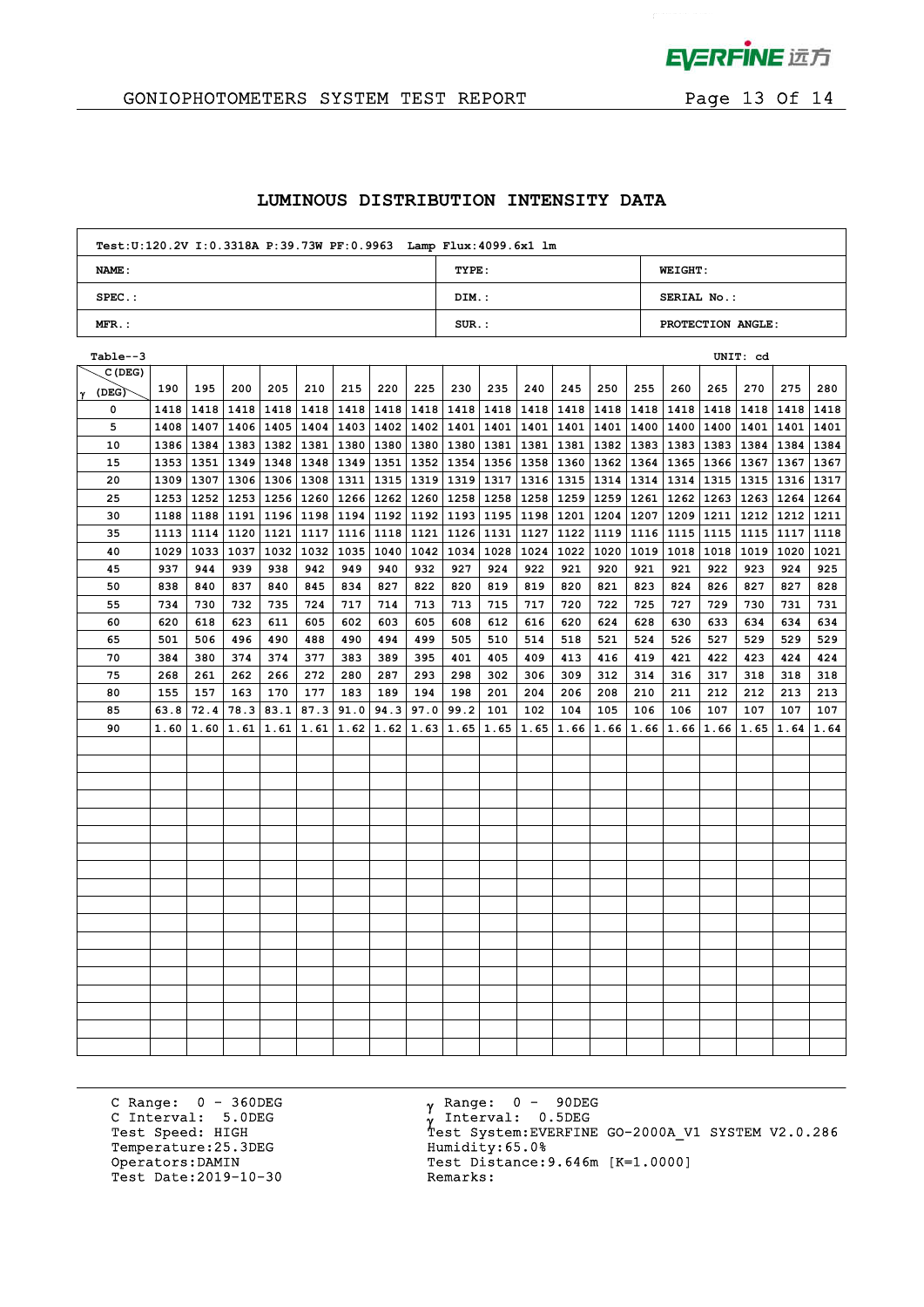

# GONIOPHOTOMETERS SYSTEM TEST REPORT FOR Page 13 Of 14

## **LUMINOUS DISTRIBUTION INTENSITY DATA**

| Test: U:120.2V I: 0.3318A P:39.73W PF: 0.9963 Lamp Flux: 4099.6x1 lm |          |                    |
|----------------------------------------------------------------------|----------|--------------------|
| NAME:                                                                | TYPE:    | <b>WEIGHT:</b>     |
| $SPEC.$ :                                                            | DIM.:    | <b>SERIAL No.:</b> |
| $MFR.$ :                                                             | $SUR$ .: | PROTECTION ANGLE:  |

| Table--3   |      |      |      |      |                    |      |      |      |                           |           |      |      |      |             |                           |      | UNIT: cd  |                           |      |
|------------|------|------|------|------|--------------------|------|------|------|---------------------------|-----------|------|------|------|-------------|---------------------------|------|-----------|---------------------------|------|
| C (DEG)    |      |      |      |      |                    |      |      |      |                           |           |      |      |      |             |                           |      |           |                           |      |
| (DEG)<br>Y | 190  | 195  | 200  | 205  | 210                | 215  | 220  | 225  | 230                       | 235       | 240  | 245  | 250  | 255         | 260                       | 265  | 270       | 275                       | 280  |
| 0          | 1418 | 1418 | 1418 |      | 1418   1418        | 1418 | 1418 | 1418 |                           | 1418 1418 | 1418 | 1418 |      |             | 1418   1418   1418        | 1418 | 1418      | 1418                      | 1418 |
| 5          | 1408 | 1407 |      |      | 1406   1405   1404 | 1403 |      |      | 1402   1402   1401   1401 |           | 1401 |      |      |             | 1401   1401   1400   1400 |      |           | 1400   1401   1401   1401 |      |
| 10         | 1386 | 1384 |      |      | 1383   1382   1381 | 1380 | 1380 | 1380 | 1380   1381               |           | 1381 | 1381 | 1382 |             | 1383 1383                 | 1383 | 1384      | 1384   1384               |      |
| 15         | 1353 | 1351 |      |      | 1349   1348   1348 | 1349 | 1351 | 1352 | 1354   1356               |           | 1358 | 1360 | 1362 | 1364 1365   |                           |      | 1366 1367 | 1367 1367                 |      |
| 20         | 1309 | 1307 |      |      | 1306   1306   1308 | 1311 | 1315 | 1319 | 1319 1317                 |           | 1316 | 1315 | 1314 | 1314   1314 |                           | 1315 | 1315      | 1316   1317               |      |
| 25         | 1253 | 1252 |      |      | 1253   1256   1260 | 1266 | 1262 | 1260 | 1258 1258                 |           | 1258 | 1259 | 1259 | 1261 1262   |                           | 1263 | 1263      | 1264                      | 1264 |
| 30         | 1188 | 1188 | 1191 |      | 1196   1198   1194 |      | 1192 | 1192 | 1193 1195                 |           | 1198 | 1201 | 1204 | 1207 1209   |                           | 1211 | 1212      | 1212 1211                 |      |
| 35         | 1113 | 1114 | 1120 |      | 1121   1117        | 1116 | 1118 | 1121 | 1126 1131                 |           | 1127 | 1122 | 1119 | 1116 1115   |                           | 1115 | 1115      | 1117                      | 1118 |
| 40         | 1029 | 1033 | 1037 |      | 1032   1032        | 1035 | 1040 | 1042 | 1034                      | 1028      | 1024 | 1022 | 1020 | 1019        | 1018                      | 1018 | 1019      | 1020                      | 1021 |
| 45         | 937  | 944  | 939  | 938  | 942                | 949  | 940  | 932  | 927                       | 924       | 922  | 921  | 920  | 921         | 921                       | 922  | 923       | 924                       | 925  |
| 50         | 838  | 840  | 837  | 840  | 845                | 834  | 827  | 822  | 820                       | 819       | 819  | 820  | 821  | 823         | 824                       | 826  | 827       | 827                       | 828  |
| 55         | 734  | 730  | 732  | 735  | 724                | 717  | 714  | 713  | 713                       | 715       | 717  | 720  | 722  | 725         | 727                       | 729  | 730       | 731                       | 731  |
| 60         | 620  | 618  | 623  | 611  | 605                | 602  | 603  | 605  | 608                       | 612       | 616  | 620  | 624  | 628         | 630                       | 633  | 634       | 634                       | 634  |
| 65         | 501  | 506  | 496  | 490  | 488                | 490  | 494  | 499  | 505                       | 510       | 514  | 518  | 521  | 524         | 526                       | 527  | 529       | 529                       | 529  |
| 70         | 384  | 380  | 374  | 374  | 377                | 383  | 389  | 395  | 401                       | 405       | 409  | 413  | 416  | 419         | 421                       | 422  | 423       | 424                       | 424  |
| 75         | 268  | 261  | 262  | 266  | 272                | 280  | 287  | 293  | 298                       | 302       | 306  | 309  | 312  | 314         | 316                       | 317  | 318       | 318                       | 318  |
| 80         | 155  | 157  | 163  | 170  | 177                | 183  | 189  | 194  | 198                       | 201       | 204  | 206  | 208  | 210         | 211                       | 212  | 212       | 213                       | 213  |
| 85         | 63.8 | 72.4 | 78.3 | 83.1 | 87.3               | 91.0 | 94.3 | 97.0 | 99.2                      | 101       | 102  | 104  | 105  | 106         | 106                       | 107  | 107       | 107                       | 107  |
| 90         | 1.60 | 1.60 | 1.61 | 1.61 | 1.61               | 1.62 | 1.62 | 1.63 | 1.65                      | 1.65      | 1.65 | 1.66 | 1.66 | 1.66        | 1.66                      | 1.66 | 1.65      | 1.64                      | 1.64 |
|            |      |      |      |      |                    |      |      |      |                           |           |      |      |      |             |                           |      |           |                           |      |
|            |      |      |      |      |                    |      |      |      |                           |           |      |      |      |             |                           |      |           |                           |      |
|            |      |      |      |      |                    |      |      |      |                           |           |      |      |      |             |                           |      |           |                           |      |
|            |      |      |      |      |                    |      |      |      |                           |           |      |      |      |             |                           |      |           |                           |      |
|            |      |      |      |      |                    |      |      |      |                           |           |      |      |      |             |                           |      |           |                           |      |
|            |      |      |      |      |                    |      |      |      |                           |           |      |      |      |             |                           |      |           |                           |      |
|            |      |      |      |      |                    |      |      |      |                           |           |      |      |      |             |                           |      |           |                           |      |
|            |      |      |      |      |                    |      |      |      |                           |           |      |      |      |             |                           |      |           |                           |      |
|            |      |      |      |      |                    |      |      |      |                           |           |      |      |      |             |                           |      |           |                           |      |
|            |      |      |      |      |                    |      |      |      |                           |           |      |      |      |             |                           |      |           |                           |      |
|            |      |      |      |      |                    |      |      |      |                           |           |      |      |      |             |                           |      |           |                           |      |
|            |      |      |      |      |                    |      |      |      |                           |           |      |      |      |             |                           |      |           |                           |      |
|            |      |      |      |      |                    |      |      |      |                           |           |      |      |      |             |                           |      |           |                           |      |
|            |      |      |      |      |                    |      |      |      |                           |           |      |      |      |             |                           |      |           |                           |      |
|            |      |      |      |      |                    |      |      |      |                           |           |      |      |      |             |                           |      |           |                           |      |
|            |      |      |      |      |                    |      |      |      |                           |           |      |      |      |             |                           |      |           |                           |      |
|            |      |      |      |      |                    |      |      |      |                           |           |      |      |      |             |                           |      |           |                           |      |
|            |      |      |      |      |                    |      |      |      |                           |           |      |      |      |             |                           |      |           |                           |      |

C Range: 0 - 360DEG C Interval: 5.0DEG Temperature:25.3DEG Humidity:65.0%<br>Operators:DAMIN Test Distance: Test Date: 2019-10-30